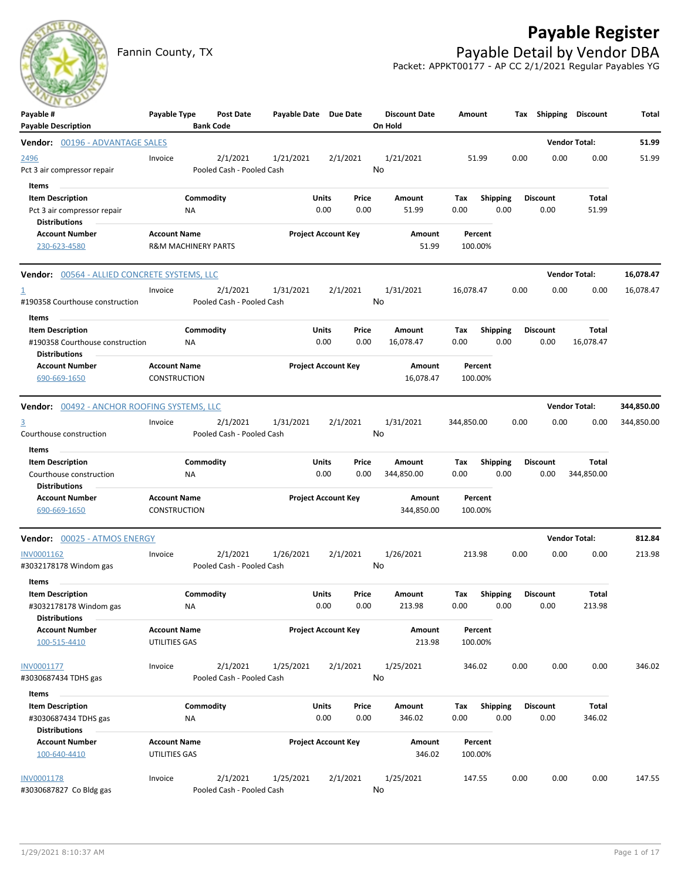## **Payable Register**



Fannin County, TX **Payable Detail by Vendor DBA** Packet: APPKT00177 - AP CC 2/1/2021 Regular Payables YG

| ---<br>Payable #<br><b>Payable Description</b>                                            | Payable Type                                          |                        | Post Date<br><b>Bank Code</b>         | Payable Date Due Date |               |                            | <b>Discount Date</b><br>On Hold | Amount             |                         |      | Tax Shipping Discount   |                      | Total      |
|-------------------------------------------------------------------------------------------|-------------------------------------------------------|------------------------|---------------------------------------|-----------------------|---------------|----------------------------|---------------------------------|--------------------|-------------------------|------|-------------------------|----------------------|------------|
| <b>Vendor:</b> 00196 - ADVANTAGE SALES                                                    |                                                       |                        |                                       |                       |               |                            |                                 |                    |                         |      |                         | <b>Vendor Total:</b> | 51.99      |
| 2496<br>Pct 3 air compressor repair                                                       | Invoice                                               |                        | 2/1/2021<br>Pooled Cash - Pooled Cash | 1/21/2021             |               | 2/1/2021                   | 1/21/2021<br>No                 | 51.99              |                         | 0.00 | 0.00                    | 0.00                 | 51.99      |
| Items<br><b>Item Description</b><br>Pct 3 air compressor repair<br><b>Distributions</b>   |                                                       | Commodity<br><b>NA</b> |                                       |                       | Units<br>0.00 | Price<br>0.00              | Amount<br>51.99                 | Тах<br>0.00        | <b>Shipping</b><br>0.00 |      | <b>Discount</b><br>0.00 | Total<br>51.99       |            |
| <b>Account Number</b><br>230-623-4580                                                     | <b>Account Name</b><br><b>R&amp;M MACHINERY PARTS</b> |                        |                                       |                       |               | <b>Project Account Key</b> | Amount<br>51.99                 | Percent<br>100.00% |                         |      |                         |                      |            |
| <b>Vendor: 00564 - ALLIED CONCRETE SYSTEMS, LLC</b>                                       |                                                       |                        |                                       |                       |               |                            |                                 |                    |                         |      |                         | <b>Vendor Total:</b> | 16,078.47  |
| 1<br>#190358 Courthouse construction                                                      | Invoice                                               |                        | 2/1/2021<br>Pooled Cash - Pooled Cash | 1/31/2021             |               | 2/1/2021                   | 1/31/2021<br>No                 | 16,078.47          |                         | 0.00 | 0.00                    | 0.00                 | 16,078.47  |
| Items<br><b>Item Description</b><br>#190358 Courthouse construction                       |                                                       | Commodity<br><b>NA</b> |                                       |                       | Units<br>0.00 | Price<br>0.00              | Amount<br>16,078.47             | Tax<br>0.00        | <b>Shipping</b><br>0.00 |      | <b>Discount</b><br>0.00 | Total<br>16,078.47   |            |
| <b>Distributions</b><br><b>Account Number</b><br>690-669-1650                             | <b>Account Name</b><br>CONSTRUCTION                   |                        |                                       |                       |               | <b>Project Account Key</b> | Amount<br>16,078.47             | Percent<br>100.00% |                         |      |                         |                      |            |
| <b>Vendor: 00492 - ANCHOR ROOFING SYSTEMS, LLC</b>                                        |                                                       |                        |                                       |                       |               |                            |                                 |                    |                         |      |                         | <b>Vendor Total:</b> | 344,850.00 |
| $\overline{3}$<br>Courthouse construction                                                 | Invoice                                               |                        | 2/1/2021<br>Pooled Cash - Pooled Cash | 1/31/2021             |               | 2/1/2021                   | 1/31/2021<br>No                 | 344,850.00         |                         | 0.00 | 0.00                    | 0.00                 | 344,850.00 |
| Items<br><b>Item Description</b><br>Courthouse construction<br><b>Distributions</b>       |                                                       | Commodity<br>ΝA        |                                       |                       | Units<br>0.00 | Price<br>0.00              | Amount<br>344,850.00            | Тах<br>0.00        | <b>Shipping</b><br>0.00 |      | <b>Discount</b><br>0.00 | Total<br>344,850.00  |            |
| <b>Account Number</b><br>690-669-1650                                                     | <b>Account Name</b><br><b>CONSTRUCTION</b>            |                        |                                       |                       |               | <b>Project Account Key</b> | Amount<br>344,850.00            | Percent<br>100.00% |                         |      |                         |                      |            |
| Vendor: 00025 - ATMOS ENERGY                                                              |                                                       |                        |                                       |                       |               |                            |                                 |                    |                         |      |                         | <b>Vendor Total:</b> | 812.84     |
| INV0001162<br>#3032178178 Windom gas                                                      | Invoice                                               |                        | 2/1/2021<br>Pooled Cash - Pooled Cash | 1/26/2021             |               | 2/1/2021                   | 1/26/2021<br>No                 | 213.98             |                         | 0.00 | 0.00                    | 0.00                 | 213.98     |
| <b>Items</b><br><b>Item Description</b><br>#3032178178 Windom gas<br><b>Distributions</b> |                                                       | Commodity<br>NA        |                                       |                       | Units<br>0.00 | Price<br>0.00              | Amount<br>213.98                | Тах<br>0.00        | <b>Shipping</b><br>0.00 |      | <b>Discount</b><br>0.00 | Total<br>213.98      |            |
| <b>Account Number</b><br>100-515-4410                                                     | <b>Account Name</b><br>UTILITIES GAS                  |                        |                                       |                       |               | <b>Project Account Key</b> | Amount<br>213.98                | Percent<br>100.00% |                         |      |                         |                      |            |
| INV0001177<br>#3030687434 TDHS gas                                                        | Invoice                                               |                        | 2/1/2021<br>Pooled Cash - Pooled Cash | 1/25/2021             |               | 2/1/2021                   | 1/25/2021<br>No                 | 346.02             |                         | 0.00 | 0.00                    | 0.00                 | 346.02     |
| Items<br><b>Item Description</b><br>#3030687434 TDHS gas<br><b>Distributions</b>          |                                                       | Commodity<br><b>NA</b> |                                       |                       | Units<br>0.00 | Price<br>0.00              | Amount<br>346.02                | Tax<br>0.00        | <b>Shipping</b><br>0.00 |      | <b>Discount</b><br>0.00 | Total<br>346.02      |            |
| <b>Account Number</b><br>100-640-4410                                                     | <b>Account Name</b><br>UTILITIES GAS                  |                        |                                       |                       |               | <b>Project Account Key</b> | Amount<br>346.02                | Percent<br>100.00% |                         |      |                         |                      |            |
| <b>INV0001178</b><br>#3030687827 Co Bldg gas                                              | Invoice                                               |                        | 2/1/2021<br>Pooled Cash - Pooled Cash | 1/25/2021             |               | 2/1/2021                   | 1/25/2021<br>No                 | 147.55             |                         | 0.00 | 0.00                    | 0.00                 | 147.55     |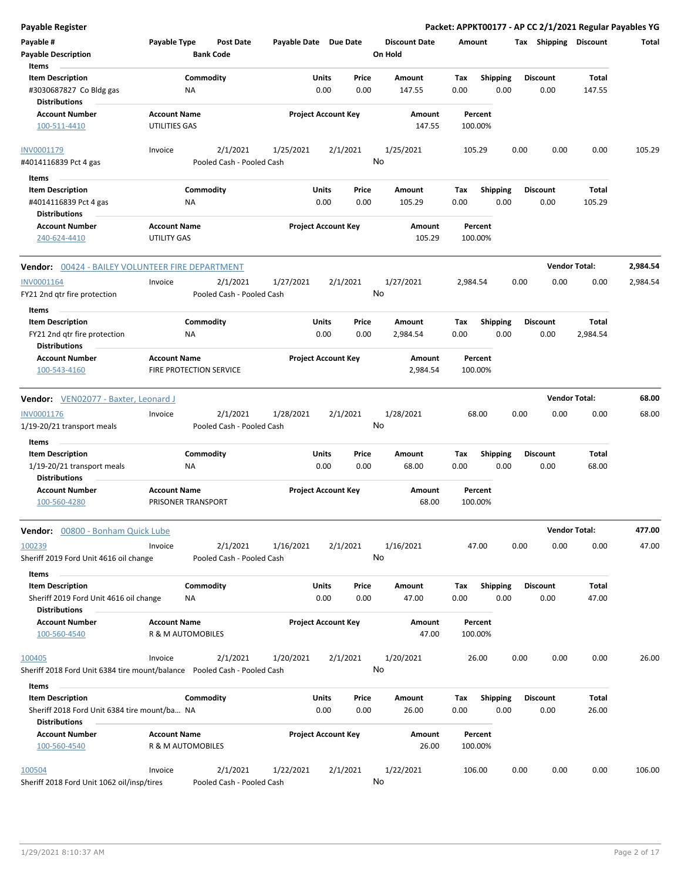| Payable #<br>Payable Type<br><b>Post Date</b><br>Payable Date Due Date<br><b>Discount Date</b><br>Tax Shipping Discount<br>Amount<br>Total<br><b>Bank Code</b><br>On Hold<br><b>Payable Description</b><br>Items<br><b>Item Description</b><br>Commodity<br>Units<br>Price<br><b>Discount</b><br><b>Total</b><br>Amount<br>Tax<br><b>Shipping</b><br>0.00<br>0.00<br>#3030687827 Co Bldg gas<br>ΝA<br>0.00<br>147.55<br>0.00<br>0.00<br>147.55<br><b>Distributions</b><br><b>Account Name</b><br><b>Project Account Key</b><br><b>Account Number</b><br>Amount<br>Percent<br>UTILITIES GAS<br>147.55<br>100-511-4410<br>100.00%<br>INV0001179<br>2/1/2021<br>1/25/2021<br>2/1/2021<br>1/25/2021<br>105.29<br>0.00<br>0.00<br>0.00<br>105.29<br>Invoice<br>No<br>Pooled Cash - Pooled Cash<br>#4014116839 Pct 4 gas<br>Items<br><b>Item Description</b><br>Commodity<br>Units<br>Price<br>Amount<br>Tax<br><b>Shipping</b><br><b>Discount</b><br>Total<br>0.00<br>0.00<br>105.29<br>#4014116839 Pct 4 gas<br>0.00<br>105.29<br>0.00<br>0.00<br>ΝA<br><b>Distributions</b><br><b>Account Name</b><br><b>Project Account Key</b><br><b>Account Number</b><br>Amount<br>Percent<br>240-624-4410<br><b>UTILITY GAS</b><br>105.29<br>100.00%<br><b>Vendor Total:</b><br>2,984.54<br>Vendor: 00424 - BAILEY VOLUNTEER FIRE DEPARTMENT<br>2,984.54<br>INV0001164<br>2/1/2021<br>1/27/2021<br>2/1/2021<br>1/27/2021<br>2,984.54<br>0.00<br>0.00<br>0.00<br>Invoice<br>No<br>FY21 2nd qtr fire protection<br>Pooled Cash - Pooled Cash<br>Items<br><b>Item Description</b><br>Commodity<br>Units<br>Price<br><b>Shipping</b><br><b>Total</b><br>Amount<br>Tax<br><b>Discount</b><br>0.00<br>FY21 2nd qtr fire protection<br>0.00<br>2,984.54<br>0.00<br>0.00<br>0.00<br>2,984.54<br>ΝA<br><b>Distributions</b><br><b>Account Number</b><br><b>Account Name</b><br><b>Project Account Key</b><br>Amount<br>Percent<br>FIRE PROTECTION SERVICE<br>2,984.54<br>100.00%<br>100-543-4160<br><b>Vendor Total:</b><br>68.00<br>Vendor: VEN02077 - Baxter, Leonard J<br>INV0001176<br>2/1/2021<br>1/28/2021<br>2/1/2021<br>1/28/2021<br>68.00<br>0.00<br>0.00<br>0.00<br>68.00<br>Invoice<br>No<br>1/19-20/21 transport meals<br>Pooled Cash - Pooled Cash<br>Items<br>Commodity<br><b>Item Description</b><br>Units<br><b>Shipping</b><br><b>Discount</b><br>Price<br><b>Amount</b><br>Tax<br>Total<br>0.00<br>0.00<br>68.00<br>0.00<br>0.00<br>0.00<br>68.00<br>1/19-20/21 transport meals<br>ΝA<br><b>Distributions</b><br><b>Account Number</b><br><b>Account Name</b><br><b>Project Account Key</b><br>Amount<br>Percent<br>100-560-4280<br>PRISONER TRANSPORT<br>68.00<br>100.00%<br><b>Vendor Total:</b><br>477.00<br>Vendor: 00800 - Bonham Quick Lube<br>47.00<br>0.00<br>0.00<br>0.00<br>47.00<br>2/1/2021<br>1/16/2021<br>2/1/2021<br>1/16/2021<br>100239<br>Invoice<br>No<br>Sheriff 2019 Ford Unit 4616 oil change<br>Pooled Cash - Pooled Cash<br><b>Items</b><br>Commodity<br>Units<br><b>Item Description</b><br>Price<br>Amount<br><b>Shipping</b><br><b>Discount</b><br>Total<br>Тах<br>47.00<br>Sheriff 2019 Ford Unit 4616 oil change<br>0.00<br>0.00<br>47.00<br>0.00<br>0.00<br>0.00<br>NA<br><b>Distributions</b><br><b>Account Number</b><br><b>Account Name</b><br><b>Project Account Key</b><br>Amount<br>Percent<br>47.00<br>R & M AUTOMOBILES<br>100.00%<br>100-560-4540<br>100405<br>2/1/2021<br>1/20/2021<br>2/1/2021<br>1/20/2021<br>26.00<br>0.00<br>0.00<br>0.00<br>26.00<br>Invoice<br>No<br>Sheriff 2018 Ford Unit 6384 tire mount/balance  Pooled Cash - Pooled Cash<br>Items<br>Commodity<br>Units<br>Price<br><b>Discount</b><br>Total<br><b>Item Description</b><br>Amount<br>Tax<br><b>Shipping</b><br>0.00<br>0.00<br>26.00<br>Sheriff 2018 Ford Unit 6384 tire mount/ba NA<br>0.00<br>26.00<br>0.00<br>0.00<br><b>Distributions</b><br><b>Account Name</b><br><b>Project Account Key</b><br><b>Account Number</b><br>Amount<br>Percent<br>R & M AUTOMOBILES<br>26.00<br>100-560-4540<br>100.00%<br>100504<br>Invoice<br>2/1/2021<br>1/22/2021<br>2/1/2021<br>1/22/2021<br>106.00<br>0.00<br>0.00<br>0.00<br>106.00<br>No<br>Sheriff 2018 Ford Unit 1062 oil/insp/tires<br>Pooled Cash - Pooled Cash | <b>Payable Register</b> |  |  |  |  |  | Packet: APPKT00177 - AP CC 2/1/2021 Regular Payables YG |  |
|-----------------------------------------------------------------------------------------------------------------------------------------------------------------------------------------------------------------------------------------------------------------------------------------------------------------------------------------------------------------------------------------------------------------------------------------------------------------------------------------------------------------------------------------------------------------------------------------------------------------------------------------------------------------------------------------------------------------------------------------------------------------------------------------------------------------------------------------------------------------------------------------------------------------------------------------------------------------------------------------------------------------------------------------------------------------------------------------------------------------------------------------------------------------------------------------------------------------------------------------------------------------------------------------------------------------------------------------------------------------------------------------------------------------------------------------------------------------------------------------------------------------------------------------------------------------------------------------------------------------------------------------------------------------------------------------------------------------------------------------------------------------------------------------------------------------------------------------------------------------------------------------------------------------------------------------------------------------------------------------------------------------------------------------------------------------------------------------------------------------------------------------------------------------------------------------------------------------------------------------------------------------------------------------------------------------------------------------------------------------------------------------------------------------------------------------------------------------------------------------------------------------------------------------------------------------------------------------------------------------------------------------------------------------------------------------------------------------------------------------------------------------------------------------------------------------------------------------------------------------------------------------------------------------------------------------------------------------------------------------------------------------------------------------------------------------------------------------------------------------------------------------------------------------------------------------------------------------------------------------------------------------------------------------------------------------------------------------------------------------------------------------------------------------------------------------------------------------------------------------------------------------------------------------------------------------------------------------------------------------------------------------------------------------------------------------------------------------------------------------------------------------------------------------------------------------------------------------------------------------------------------------------------------------------------------------------------------------------------------------------------------------------------------------------------------------------------------------------------------------------------------------------------------------------------------------------------------------------------|-------------------------|--|--|--|--|--|---------------------------------------------------------|--|
|                                                                                                                                                                                                                                                                                                                                                                                                                                                                                                                                                                                                                                                                                                                                                                                                                                                                                                                                                                                                                                                                                                                                                                                                                                                                                                                                                                                                                                                                                                                                                                                                                                                                                                                                                                                                                                                                                                                                                                                                                                                                                                                                                                                                                                                                                                                                                                                                                                                                                                                                                                                                                                                                                                                                                                                                                                                                                                                                                                                                                                                                                                                                                                                                                                                                                                                                                                                                                                                                                                                                                                                                                                                                                                                                                                                                                                                                                                                                                                                                                                                                                                                                                                                                                             |                         |  |  |  |  |  |                                                         |  |
|                                                                                                                                                                                                                                                                                                                                                                                                                                                                                                                                                                                                                                                                                                                                                                                                                                                                                                                                                                                                                                                                                                                                                                                                                                                                                                                                                                                                                                                                                                                                                                                                                                                                                                                                                                                                                                                                                                                                                                                                                                                                                                                                                                                                                                                                                                                                                                                                                                                                                                                                                                                                                                                                                                                                                                                                                                                                                                                                                                                                                                                                                                                                                                                                                                                                                                                                                                                                                                                                                                                                                                                                                                                                                                                                                                                                                                                                                                                                                                                                                                                                                                                                                                                                                             |                         |  |  |  |  |  |                                                         |  |
|                                                                                                                                                                                                                                                                                                                                                                                                                                                                                                                                                                                                                                                                                                                                                                                                                                                                                                                                                                                                                                                                                                                                                                                                                                                                                                                                                                                                                                                                                                                                                                                                                                                                                                                                                                                                                                                                                                                                                                                                                                                                                                                                                                                                                                                                                                                                                                                                                                                                                                                                                                                                                                                                                                                                                                                                                                                                                                                                                                                                                                                                                                                                                                                                                                                                                                                                                                                                                                                                                                                                                                                                                                                                                                                                                                                                                                                                                                                                                                                                                                                                                                                                                                                                                             |                         |  |  |  |  |  |                                                         |  |
|                                                                                                                                                                                                                                                                                                                                                                                                                                                                                                                                                                                                                                                                                                                                                                                                                                                                                                                                                                                                                                                                                                                                                                                                                                                                                                                                                                                                                                                                                                                                                                                                                                                                                                                                                                                                                                                                                                                                                                                                                                                                                                                                                                                                                                                                                                                                                                                                                                                                                                                                                                                                                                                                                                                                                                                                                                                                                                                                                                                                                                                                                                                                                                                                                                                                                                                                                                                                                                                                                                                                                                                                                                                                                                                                                                                                                                                                                                                                                                                                                                                                                                                                                                                                                             |                         |  |  |  |  |  |                                                         |  |
|                                                                                                                                                                                                                                                                                                                                                                                                                                                                                                                                                                                                                                                                                                                                                                                                                                                                                                                                                                                                                                                                                                                                                                                                                                                                                                                                                                                                                                                                                                                                                                                                                                                                                                                                                                                                                                                                                                                                                                                                                                                                                                                                                                                                                                                                                                                                                                                                                                                                                                                                                                                                                                                                                                                                                                                                                                                                                                                                                                                                                                                                                                                                                                                                                                                                                                                                                                                                                                                                                                                                                                                                                                                                                                                                                                                                                                                                                                                                                                                                                                                                                                                                                                                                                             |                         |  |  |  |  |  |                                                         |  |
|                                                                                                                                                                                                                                                                                                                                                                                                                                                                                                                                                                                                                                                                                                                                                                                                                                                                                                                                                                                                                                                                                                                                                                                                                                                                                                                                                                                                                                                                                                                                                                                                                                                                                                                                                                                                                                                                                                                                                                                                                                                                                                                                                                                                                                                                                                                                                                                                                                                                                                                                                                                                                                                                                                                                                                                                                                                                                                                                                                                                                                                                                                                                                                                                                                                                                                                                                                                                                                                                                                                                                                                                                                                                                                                                                                                                                                                                                                                                                                                                                                                                                                                                                                                                                             |                         |  |  |  |  |  |                                                         |  |
|                                                                                                                                                                                                                                                                                                                                                                                                                                                                                                                                                                                                                                                                                                                                                                                                                                                                                                                                                                                                                                                                                                                                                                                                                                                                                                                                                                                                                                                                                                                                                                                                                                                                                                                                                                                                                                                                                                                                                                                                                                                                                                                                                                                                                                                                                                                                                                                                                                                                                                                                                                                                                                                                                                                                                                                                                                                                                                                                                                                                                                                                                                                                                                                                                                                                                                                                                                                                                                                                                                                                                                                                                                                                                                                                                                                                                                                                                                                                                                                                                                                                                                                                                                                                                             |                         |  |  |  |  |  |                                                         |  |
|                                                                                                                                                                                                                                                                                                                                                                                                                                                                                                                                                                                                                                                                                                                                                                                                                                                                                                                                                                                                                                                                                                                                                                                                                                                                                                                                                                                                                                                                                                                                                                                                                                                                                                                                                                                                                                                                                                                                                                                                                                                                                                                                                                                                                                                                                                                                                                                                                                                                                                                                                                                                                                                                                                                                                                                                                                                                                                                                                                                                                                                                                                                                                                                                                                                                                                                                                                                                                                                                                                                                                                                                                                                                                                                                                                                                                                                                                                                                                                                                                                                                                                                                                                                                                             |                         |  |  |  |  |  |                                                         |  |
|                                                                                                                                                                                                                                                                                                                                                                                                                                                                                                                                                                                                                                                                                                                                                                                                                                                                                                                                                                                                                                                                                                                                                                                                                                                                                                                                                                                                                                                                                                                                                                                                                                                                                                                                                                                                                                                                                                                                                                                                                                                                                                                                                                                                                                                                                                                                                                                                                                                                                                                                                                                                                                                                                                                                                                                                                                                                                                                                                                                                                                                                                                                                                                                                                                                                                                                                                                                                                                                                                                                                                                                                                                                                                                                                                                                                                                                                                                                                                                                                                                                                                                                                                                                                                             |                         |  |  |  |  |  |                                                         |  |
|                                                                                                                                                                                                                                                                                                                                                                                                                                                                                                                                                                                                                                                                                                                                                                                                                                                                                                                                                                                                                                                                                                                                                                                                                                                                                                                                                                                                                                                                                                                                                                                                                                                                                                                                                                                                                                                                                                                                                                                                                                                                                                                                                                                                                                                                                                                                                                                                                                                                                                                                                                                                                                                                                                                                                                                                                                                                                                                                                                                                                                                                                                                                                                                                                                                                                                                                                                                                                                                                                                                                                                                                                                                                                                                                                                                                                                                                                                                                                                                                                                                                                                                                                                                                                             |                         |  |  |  |  |  |                                                         |  |
|                                                                                                                                                                                                                                                                                                                                                                                                                                                                                                                                                                                                                                                                                                                                                                                                                                                                                                                                                                                                                                                                                                                                                                                                                                                                                                                                                                                                                                                                                                                                                                                                                                                                                                                                                                                                                                                                                                                                                                                                                                                                                                                                                                                                                                                                                                                                                                                                                                                                                                                                                                                                                                                                                                                                                                                                                                                                                                                                                                                                                                                                                                                                                                                                                                                                                                                                                                                                                                                                                                                                                                                                                                                                                                                                                                                                                                                                                                                                                                                                                                                                                                                                                                                                                             |                         |  |  |  |  |  |                                                         |  |
|                                                                                                                                                                                                                                                                                                                                                                                                                                                                                                                                                                                                                                                                                                                                                                                                                                                                                                                                                                                                                                                                                                                                                                                                                                                                                                                                                                                                                                                                                                                                                                                                                                                                                                                                                                                                                                                                                                                                                                                                                                                                                                                                                                                                                                                                                                                                                                                                                                                                                                                                                                                                                                                                                                                                                                                                                                                                                                                                                                                                                                                                                                                                                                                                                                                                                                                                                                                                                                                                                                                                                                                                                                                                                                                                                                                                                                                                                                                                                                                                                                                                                                                                                                                                                             |                         |  |  |  |  |  |                                                         |  |
|                                                                                                                                                                                                                                                                                                                                                                                                                                                                                                                                                                                                                                                                                                                                                                                                                                                                                                                                                                                                                                                                                                                                                                                                                                                                                                                                                                                                                                                                                                                                                                                                                                                                                                                                                                                                                                                                                                                                                                                                                                                                                                                                                                                                                                                                                                                                                                                                                                                                                                                                                                                                                                                                                                                                                                                                                                                                                                                                                                                                                                                                                                                                                                                                                                                                                                                                                                                                                                                                                                                                                                                                                                                                                                                                                                                                                                                                                                                                                                                                                                                                                                                                                                                                                             |                         |  |  |  |  |  |                                                         |  |
|                                                                                                                                                                                                                                                                                                                                                                                                                                                                                                                                                                                                                                                                                                                                                                                                                                                                                                                                                                                                                                                                                                                                                                                                                                                                                                                                                                                                                                                                                                                                                                                                                                                                                                                                                                                                                                                                                                                                                                                                                                                                                                                                                                                                                                                                                                                                                                                                                                                                                                                                                                                                                                                                                                                                                                                                                                                                                                                                                                                                                                                                                                                                                                                                                                                                                                                                                                                                                                                                                                                                                                                                                                                                                                                                                                                                                                                                                                                                                                                                                                                                                                                                                                                                                             |                         |  |  |  |  |  |                                                         |  |
|                                                                                                                                                                                                                                                                                                                                                                                                                                                                                                                                                                                                                                                                                                                                                                                                                                                                                                                                                                                                                                                                                                                                                                                                                                                                                                                                                                                                                                                                                                                                                                                                                                                                                                                                                                                                                                                                                                                                                                                                                                                                                                                                                                                                                                                                                                                                                                                                                                                                                                                                                                                                                                                                                                                                                                                                                                                                                                                                                                                                                                                                                                                                                                                                                                                                                                                                                                                                                                                                                                                                                                                                                                                                                                                                                                                                                                                                                                                                                                                                                                                                                                                                                                                                                             |                         |  |  |  |  |  |                                                         |  |
|                                                                                                                                                                                                                                                                                                                                                                                                                                                                                                                                                                                                                                                                                                                                                                                                                                                                                                                                                                                                                                                                                                                                                                                                                                                                                                                                                                                                                                                                                                                                                                                                                                                                                                                                                                                                                                                                                                                                                                                                                                                                                                                                                                                                                                                                                                                                                                                                                                                                                                                                                                                                                                                                                                                                                                                                                                                                                                                                                                                                                                                                                                                                                                                                                                                                                                                                                                                                                                                                                                                                                                                                                                                                                                                                                                                                                                                                                                                                                                                                                                                                                                                                                                                                                             |                         |  |  |  |  |  |                                                         |  |
|                                                                                                                                                                                                                                                                                                                                                                                                                                                                                                                                                                                                                                                                                                                                                                                                                                                                                                                                                                                                                                                                                                                                                                                                                                                                                                                                                                                                                                                                                                                                                                                                                                                                                                                                                                                                                                                                                                                                                                                                                                                                                                                                                                                                                                                                                                                                                                                                                                                                                                                                                                                                                                                                                                                                                                                                                                                                                                                                                                                                                                                                                                                                                                                                                                                                                                                                                                                                                                                                                                                                                                                                                                                                                                                                                                                                                                                                                                                                                                                                                                                                                                                                                                                                                             |                         |  |  |  |  |  |                                                         |  |
|                                                                                                                                                                                                                                                                                                                                                                                                                                                                                                                                                                                                                                                                                                                                                                                                                                                                                                                                                                                                                                                                                                                                                                                                                                                                                                                                                                                                                                                                                                                                                                                                                                                                                                                                                                                                                                                                                                                                                                                                                                                                                                                                                                                                                                                                                                                                                                                                                                                                                                                                                                                                                                                                                                                                                                                                                                                                                                                                                                                                                                                                                                                                                                                                                                                                                                                                                                                                                                                                                                                                                                                                                                                                                                                                                                                                                                                                                                                                                                                                                                                                                                                                                                                                                             |                         |  |  |  |  |  |                                                         |  |
|                                                                                                                                                                                                                                                                                                                                                                                                                                                                                                                                                                                                                                                                                                                                                                                                                                                                                                                                                                                                                                                                                                                                                                                                                                                                                                                                                                                                                                                                                                                                                                                                                                                                                                                                                                                                                                                                                                                                                                                                                                                                                                                                                                                                                                                                                                                                                                                                                                                                                                                                                                                                                                                                                                                                                                                                                                                                                                                                                                                                                                                                                                                                                                                                                                                                                                                                                                                                                                                                                                                                                                                                                                                                                                                                                                                                                                                                                                                                                                                                                                                                                                                                                                                                                             |                         |  |  |  |  |  |                                                         |  |
|                                                                                                                                                                                                                                                                                                                                                                                                                                                                                                                                                                                                                                                                                                                                                                                                                                                                                                                                                                                                                                                                                                                                                                                                                                                                                                                                                                                                                                                                                                                                                                                                                                                                                                                                                                                                                                                                                                                                                                                                                                                                                                                                                                                                                                                                                                                                                                                                                                                                                                                                                                                                                                                                                                                                                                                                                                                                                                                                                                                                                                                                                                                                                                                                                                                                                                                                                                                                                                                                                                                                                                                                                                                                                                                                                                                                                                                                                                                                                                                                                                                                                                                                                                                                                             |                         |  |  |  |  |  |                                                         |  |
|                                                                                                                                                                                                                                                                                                                                                                                                                                                                                                                                                                                                                                                                                                                                                                                                                                                                                                                                                                                                                                                                                                                                                                                                                                                                                                                                                                                                                                                                                                                                                                                                                                                                                                                                                                                                                                                                                                                                                                                                                                                                                                                                                                                                                                                                                                                                                                                                                                                                                                                                                                                                                                                                                                                                                                                                                                                                                                                                                                                                                                                                                                                                                                                                                                                                                                                                                                                                                                                                                                                                                                                                                                                                                                                                                                                                                                                                                                                                                                                                                                                                                                                                                                                                                             |                         |  |  |  |  |  |                                                         |  |
|                                                                                                                                                                                                                                                                                                                                                                                                                                                                                                                                                                                                                                                                                                                                                                                                                                                                                                                                                                                                                                                                                                                                                                                                                                                                                                                                                                                                                                                                                                                                                                                                                                                                                                                                                                                                                                                                                                                                                                                                                                                                                                                                                                                                                                                                                                                                                                                                                                                                                                                                                                                                                                                                                                                                                                                                                                                                                                                                                                                                                                                                                                                                                                                                                                                                                                                                                                                                                                                                                                                                                                                                                                                                                                                                                                                                                                                                                                                                                                                                                                                                                                                                                                                                                             |                         |  |  |  |  |  |                                                         |  |
|                                                                                                                                                                                                                                                                                                                                                                                                                                                                                                                                                                                                                                                                                                                                                                                                                                                                                                                                                                                                                                                                                                                                                                                                                                                                                                                                                                                                                                                                                                                                                                                                                                                                                                                                                                                                                                                                                                                                                                                                                                                                                                                                                                                                                                                                                                                                                                                                                                                                                                                                                                                                                                                                                                                                                                                                                                                                                                                                                                                                                                                                                                                                                                                                                                                                                                                                                                                                                                                                                                                                                                                                                                                                                                                                                                                                                                                                                                                                                                                                                                                                                                                                                                                                                             |                         |  |  |  |  |  |                                                         |  |
|                                                                                                                                                                                                                                                                                                                                                                                                                                                                                                                                                                                                                                                                                                                                                                                                                                                                                                                                                                                                                                                                                                                                                                                                                                                                                                                                                                                                                                                                                                                                                                                                                                                                                                                                                                                                                                                                                                                                                                                                                                                                                                                                                                                                                                                                                                                                                                                                                                                                                                                                                                                                                                                                                                                                                                                                                                                                                                                                                                                                                                                                                                                                                                                                                                                                                                                                                                                                                                                                                                                                                                                                                                                                                                                                                                                                                                                                                                                                                                                                                                                                                                                                                                                                                             |                         |  |  |  |  |  |                                                         |  |
|                                                                                                                                                                                                                                                                                                                                                                                                                                                                                                                                                                                                                                                                                                                                                                                                                                                                                                                                                                                                                                                                                                                                                                                                                                                                                                                                                                                                                                                                                                                                                                                                                                                                                                                                                                                                                                                                                                                                                                                                                                                                                                                                                                                                                                                                                                                                                                                                                                                                                                                                                                                                                                                                                                                                                                                                                                                                                                                                                                                                                                                                                                                                                                                                                                                                                                                                                                                                                                                                                                                                                                                                                                                                                                                                                                                                                                                                                                                                                                                                                                                                                                                                                                                                                             |                         |  |  |  |  |  |                                                         |  |
|                                                                                                                                                                                                                                                                                                                                                                                                                                                                                                                                                                                                                                                                                                                                                                                                                                                                                                                                                                                                                                                                                                                                                                                                                                                                                                                                                                                                                                                                                                                                                                                                                                                                                                                                                                                                                                                                                                                                                                                                                                                                                                                                                                                                                                                                                                                                                                                                                                                                                                                                                                                                                                                                                                                                                                                                                                                                                                                                                                                                                                                                                                                                                                                                                                                                                                                                                                                                                                                                                                                                                                                                                                                                                                                                                                                                                                                                                                                                                                                                                                                                                                                                                                                                                             |                         |  |  |  |  |  |                                                         |  |
|                                                                                                                                                                                                                                                                                                                                                                                                                                                                                                                                                                                                                                                                                                                                                                                                                                                                                                                                                                                                                                                                                                                                                                                                                                                                                                                                                                                                                                                                                                                                                                                                                                                                                                                                                                                                                                                                                                                                                                                                                                                                                                                                                                                                                                                                                                                                                                                                                                                                                                                                                                                                                                                                                                                                                                                                                                                                                                                                                                                                                                                                                                                                                                                                                                                                                                                                                                                                                                                                                                                                                                                                                                                                                                                                                                                                                                                                                                                                                                                                                                                                                                                                                                                                                             |                         |  |  |  |  |  |                                                         |  |
|                                                                                                                                                                                                                                                                                                                                                                                                                                                                                                                                                                                                                                                                                                                                                                                                                                                                                                                                                                                                                                                                                                                                                                                                                                                                                                                                                                                                                                                                                                                                                                                                                                                                                                                                                                                                                                                                                                                                                                                                                                                                                                                                                                                                                                                                                                                                                                                                                                                                                                                                                                                                                                                                                                                                                                                                                                                                                                                                                                                                                                                                                                                                                                                                                                                                                                                                                                                                                                                                                                                                                                                                                                                                                                                                                                                                                                                                                                                                                                                                                                                                                                                                                                                                                             |                         |  |  |  |  |  |                                                         |  |
|                                                                                                                                                                                                                                                                                                                                                                                                                                                                                                                                                                                                                                                                                                                                                                                                                                                                                                                                                                                                                                                                                                                                                                                                                                                                                                                                                                                                                                                                                                                                                                                                                                                                                                                                                                                                                                                                                                                                                                                                                                                                                                                                                                                                                                                                                                                                                                                                                                                                                                                                                                                                                                                                                                                                                                                                                                                                                                                                                                                                                                                                                                                                                                                                                                                                                                                                                                                                                                                                                                                                                                                                                                                                                                                                                                                                                                                                                                                                                                                                                                                                                                                                                                                                                             |                         |  |  |  |  |  |                                                         |  |
|                                                                                                                                                                                                                                                                                                                                                                                                                                                                                                                                                                                                                                                                                                                                                                                                                                                                                                                                                                                                                                                                                                                                                                                                                                                                                                                                                                                                                                                                                                                                                                                                                                                                                                                                                                                                                                                                                                                                                                                                                                                                                                                                                                                                                                                                                                                                                                                                                                                                                                                                                                                                                                                                                                                                                                                                                                                                                                                                                                                                                                                                                                                                                                                                                                                                                                                                                                                                                                                                                                                                                                                                                                                                                                                                                                                                                                                                                                                                                                                                                                                                                                                                                                                                                             |                         |  |  |  |  |  |                                                         |  |
|                                                                                                                                                                                                                                                                                                                                                                                                                                                                                                                                                                                                                                                                                                                                                                                                                                                                                                                                                                                                                                                                                                                                                                                                                                                                                                                                                                                                                                                                                                                                                                                                                                                                                                                                                                                                                                                                                                                                                                                                                                                                                                                                                                                                                                                                                                                                                                                                                                                                                                                                                                                                                                                                                                                                                                                                                                                                                                                                                                                                                                                                                                                                                                                                                                                                                                                                                                                                                                                                                                                                                                                                                                                                                                                                                                                                                                                                                                                                                                                                                                                                                                                                                                                                                             |                         |  |  |  |  |  |                                                         |  |
|                                                                                                                                                                                                                                                                                                                                                                                                                                                                                                                                                                                                                                                                                                                                                                                                                                                                                                                                                                                                                                                                                                                                                                                                                                                                                                                                                                                                                                                                                                                                                                                                                                                                                                                                                                                                                                                                                                                                                                                                                                                                                                                                                                                                                                                                                                                                                                                                                                                                                                                                                                                                                                                                                                                                                                                                                                                                                                                                                                                                                                                                                                                                                                                                                                                                                                                                                                                                                                                                                                                                                                                                                                                                                                                                                                                                                                                                                                                                                                                                                                                                                                                                                                                                                             |                         |  |  |  |  |  |                                                         |  |
|                                                                                                                                                                                                                                                                                                                                                                                                                                                                                                                                                                                                                                                                                                                                                                                                                                                                                                                                                                                                                                                                                                                                                                                                                                                                                                                                                                                                                                                                                                                                                                                                                                                                                                                                                                                                                                                                                                                                                                                                                                                                                                                                                                                                                                                                                                                                                                                                                                                                                                                                                                                                                                                                                                                                                                                                                                                                                                                                                                                                                                                                                                                                                                                                                                                                                                                                                                                                                                                                                                                                                                                                                                                                                                                                                                                                                                                                                                                                                                                                                                                                                                                                                                                                                             |                         |  |  |  |  |  |                                                         |  |
|                                                                                                                                                                                                                                                                                                                                                                                                                                                                                                                                                                                                                                                                                                                                                                                                                                                                                                                                                                                                                                                                                                                                                                                                                                                                                                                                                                                                                                                                                                                                                                                                                                                                                                                                                                                                                                                                                                                                                                                                                                                                                                                                                                                                                                                                                                                                                                                                                                                                                                                                                                                                                                                                                                                                                                                                                                                                                                                                                                                                                                                                                                                                                                                                                                                                                                                                                                                                                                                                                                                                                                                                                                                                                                                                                                                                                                                                                                                                                                                                                                                                                                                                                                                                                             |                         |  |  |  |  |  |                                                         |  |
|                                                                                                                                                                                                                                                                                                                                                                                                                                                                                                                                                                                                                                                                                                                                                                                                                                                                                                                                                                                                                                                                                                                                                                                                                                                                                                                                                                                                                                                                                                                                                                                                                                                                                                                                                                                                                                                                                                                                                                                                                                                                                                                                                                                                                                                                                                                                                                                                                                                                                                                                                                                                                                                                                                                                                                                                                                                                                                                                                                                                                                                                                                                                                                                                                                                                                                                                                                                                                                                                                                                                                                                                                                                                                                                                                                                                                                                                                                                                                                                                                                                                                                                                                                                                                             |                         |  |  |  |  |  |                                                         |  |
|                                                                                                                                                                                                                                                                                                                                                                                                                                                                                                                                                                                                                                                                                                                                                                                                                                                                                                                                                                                                                                                                                                                                                                                                                                                                                                                                                                                                                                                                                                                                                                                                                                                                                                                                                                                                                                                                                                                                                                                                                                                                                                                                                                                                                                                                                                                                                                                                                                                                                                                                                                                                                                                                                                                                                                                                                                                                                                                                                                                                                                                                                                                                                                                                                                                                                                                                                                                                                                                                                                                                                                                                                                                                                                                                                                                                                                                                                                                                                                                                                                                                                                                                                                                                                             |                         |  |  |  |  |  |                                                         |  |
|                                                                                                                                                                                                                                                                                                                                                                                                                                                                                                                                                                                                                                                                                                                                                                                                                                                                                                                                                                                                                                                                                                                                                                                                                                                                                                                                                                                                                                                                                                                                                                                                                                                                                                                                                                                                                                                                                                                                                                                                                                                                                                                                                                                                                                                                                                                                                                                                                                                                                                                                                                                                                                                                                                                                                                                                                                                                                                                                                                                                                                                                                                                                                                                                                                                                                                                                                                                                                                                                                                                                                                                                                                                                                                                                                                                                                                                                                                                                                                                                                                                                                                                                                                                                                             |                         |  |  |  |  |  |                                                         |  |
|                                                                                                                                                                                                                                                                                                                                                                                                                                                                                                                                                                                                                                                                                                                                                                                                                                                                                                                                                                                                                                                                                                                                                                                                                                                                                                                                                                                                                                                                                                                                                                                                                                                                                                                                                                                                                                                                                                                                                                                                                                                                                                                                                                                                                                                                                                                                                                                                                                                                                                                                                                                                                                                                                                                                                                                                                                                                                                                                                                                                                                                                                                                                                                                                                                                                                                                                                                                                                                                                                                                                                                                                                                                                                                                                                                                                                                                                                                                                                                                                                                                                                                                                                                                                                             |                         |  |  |  |  |  |                                                         |  |
|                                                                                                                                                                                                                                                                                                                                                                                                                                                                                                                                                                                                                                                                                                                                                                                                                                                                                                                                                                                                                                                                                                                                                                                                                                                                                                                                                                                                                                                                                                                                                                                                                                                                                                                                                                                                                                                                                                                                                                                                                                                                                                                                                                                                                                                                                                                                                                                                                                                                                                                                                                                                                                                                                                                                                                                                                                                                                                                                                                                                                                                                                                                                                                                                                                                                                                                                                                                                                                                                                                                                                                                                                                                                                                                                                                                                                                                                                                                                                                                                                                                                                                                                                                                                                             |                         |  |  |  |  |  |                                                         |  |
|                                                                                                                                                                                                                                                                                                                                                                                                                                                                                                                                                                                                                                                                                                                                                                                                                                                                                                                                                                                                                                                                                                                                                                                                                                                                                                                                                                                                                                                                                                                                                                                                                                                                                                                                                                                                                                                                                                                                                                                                                                                                                                                                                                                                                                                                                                                                                                                                                                                                                                                                                                                                                                                                                                                                                                                                                                                                                                                                                                                                                                                                                                                                                                                                                                                                                                                                                                                                                                                                                                                                                                                                                                                                                                                                                                                                                                                                                                                                                                                                                                                                                                                                                                                                                             |                         |  |  |  |  |  |                                                         |  |
|                                                                                                                                                                                                                                                                                                                                                                                                                                                                                                                                                                                                                                                                                                                                                                                                                                                                                                                                                                                                                                                                                                                                                                                                                                                                                                                                                                                                                                                                                                                                                                                                                                                                                                                                                                                                                                                                                                                                                                                                                                                                                                                                                                                                                                                                                                                                                                                                                                                                                                                                                                                                                                                                                                                                                                                                                                                                                                                                                                                                                                                                                                                                                                                                                                                                                                                                                                                                                                                                                                                                                                                                                                                                                                                                                                                                                                                                                                                                                                                                                                                                                                                                                                                                                             |                         |  |  |  |  |  |                                                         |  |
|                                                                                                                                                                                                                                                                                                                                                                                                                                                                                                                                                                                                                                                                                                                                                                                                                                                                                                                                                                                                                                                                                                                                                                                                                                                                                                                                                                                                                                                                                                                                                                                                                                                                                                                                                                                                                                                                                                                                                                                                                                                                                                                                                                                                                                                                                                                                                                                                                                                                                                                                                                                                                                                                                                                                                                                                                                                                                                                                                                                                                                                                                                                                                                                                                                                                                                                                                                                                                                                                                                                                                                                                                                                                                                                                                                                                                                                                                                                                                                                                                                                                                                                                                                                                                             |                         |  |  |  |  |  |                                                         |  |
|                                                                                                                                                                                                                                                                                                                                                                                                                                                                                                                                                                                                                                                                                                                                                                                                                                                                                                                                                                                                                                                                                                                                                                                                                                                                                                                                                                                                                                                                                                                                                                                                                                                                                                                                                                                                                                                                                                                                                                                                                                                                                                                                                                                                                                                                                                                                                                                                                                                                                                                                                                                                                                                                                                                                                                                                                                                                                                                                                                                                                                                                                                                                                                                                                                                                                                                                                                                                                                                                                                                                                                                                                                                                                                                                                                                                                                                                                                                                                                                                                                                                                                                                                                                                                             |                         |  |  |  |  |  |                                                         |  |
|                                                                                                                                                                                                                                                                                                                                                                                                                                                                                                                                                                                                                                                                                                                                                                                                                                                                                                                                                                                                                                                                                                                                                                                                                                                                                                                                                                                                                                                                                                                                                                                                                                                                                                                                                                                                                                                                                                                                                                                                                                                                                                                                                                                                                                                                                                                                                                                                                                                                                                                                                                                                                                                                                                                                                                                                                                                                                                                                                                                                                                                                                                                                                                                                                                                                                                                                                                                                                                                                                                                                                                                                                                                                                                                                                                                                                                                                                                                                                                                                                                                                                                                                                                                                                             |                         |  |  |  |  |  |                                                         |  |
|                                                                                                                                                                                                                                                                                                                                                                                                                                                                                                                                                                                                                                                                                                                                                                                                                                                                                                                                                                                                                                                                                                                                                                                                                                                                                                                                                                                                                                                                                                                                                                                                                                                                                                                                                                                                                                                                                                                                                                                                                                                                                                                                                                                                                                                                                                                                                                                                                                                                                                                                                                                                                                                                                                                                                                                                                                                                                                                                                                                                                                                                                                                                                                                                                                                                                                                                                                                                                                                                                                                                                                                                                                                                                                                                                                                                                                                                                                                                                                                                                                                                                                                                                                                                                             |                         |  |  |  |  |  |                                                         |  |
|                                                                                                                                                                                                                                                                                                                                                                                                                                                                                                                                                                                                                                                                                                                                                                                                                                                                                                                                                                                                                                                                                                                                                                                                                                                                                                                                                                                                                                                                                                                                                                                                                                                                                                                                                                                                                                                                                                                                                                                                                                                                                                                                                                                                                                                                                                                                                                                                                                                                                                                                                                                                                                                                                                                                                                                                                                                                                                                                                                                                                                                                                                                                                                                                                                                                                                                                                                                                                                                                                                                                                                                                                                                                                                                                                                                                                                                                                                                                                                                                                                                                                                                                                                                                                             |                         |  |  |  |  |  |                                                         |  |
|                                                                                                                                                                                                                                                                                                                                                                                                                                                                                                                                                                                                                                                                                                                                                                                                                                                                                                                                                                                                                                                                                                                                                                                                                                                                                                                                                                                                                                                                                                                                                                                                                                                                                                                                                                                                                                                                                                                                                                                                                                                                                                                                                                                                                                                                                                                                                                                                                                                                                                                                                                                                                                                                                                                                                                                                                                                                                                                                                                                                                                                                                                                                                                                                                                                                                                                                                                                                                                                                                                                                                                                                                                                                                                                                                                                                                                                                                                                                                                                                                                                                                                                                                                                                                             |                         |  |  |  |  |  |                                                         |  |
|                                                                                                                                                                                                                                                                                                                                                                                                                                                                                                                                                                                                                                                                                                                                                                                                                                                                                                                                                                                                                                                                                                                                                                                                                                                                                                                                                                                                                                                                                                                                                                                                                                                                                                                                                                                                                                                                                                                                                                                                                                                                                                                                                                                                                                                                                                                                                                                                                                                                                                                                                                                                                                                                                                                                                                                                                                                                                                                                                                                                                                                                                                                                                                                                                                                                                                                                                                                                                                                                                                                                                                                                                                                                                                                                                                                                                                                                                                                                                                                                                                                                                                                                                                                                                             |                         |  |  |  |  |  |                                                         |  |
|                                                                                                                                                                                                                                                                                                                                                                                                                                                                                                                                                                                                                                                                                                                                                                                                                                                                                                                                                                                                                                                                                                                                                                                                                                                                                                                                                                                                                                                                                                                                                                                                                                                                                                                                                                                                                                                                                                                                                                                                                                                                                                                                                                                                                                                                                                                                                                                                                                                                                                                                                                                                                                                                                                                                                                                                                                                                                                                                                                                                                                                                                                                                                                                                                                                                                                                                                                                                                                                                                                                                                                                                                                                                                                                                                                                                                                                                                                                                                                                                                                                                                                                                                                                                                             |                         |  |  |  |  |  |                                                         |  |
|                                                                                                                                                                                                                                                                                                                                                                                                                                                                                                                                                                                                                                                                                                                                                                                                                                                                                                                                                                                                                                                                                                                                                                                                                                                                                                                                                                                                                                                                                                                                                                                                                                                                                                                                                                                                                                                                                                                                                                                                                                                                                                                                                                                                                                                                                                                                                                                                                                                                                                                                                                                                                                                                                                                                                                                                                                                                                                                                                                                                                                                                                                                                                                                                                                                                                                                                                                                                                                                                                                                                                                                                                                                                                                                                                                                                                                                                                                                                                                                                                                                                                                                                                                                                                             |                         |  |  |  |  |  |                                                         |  |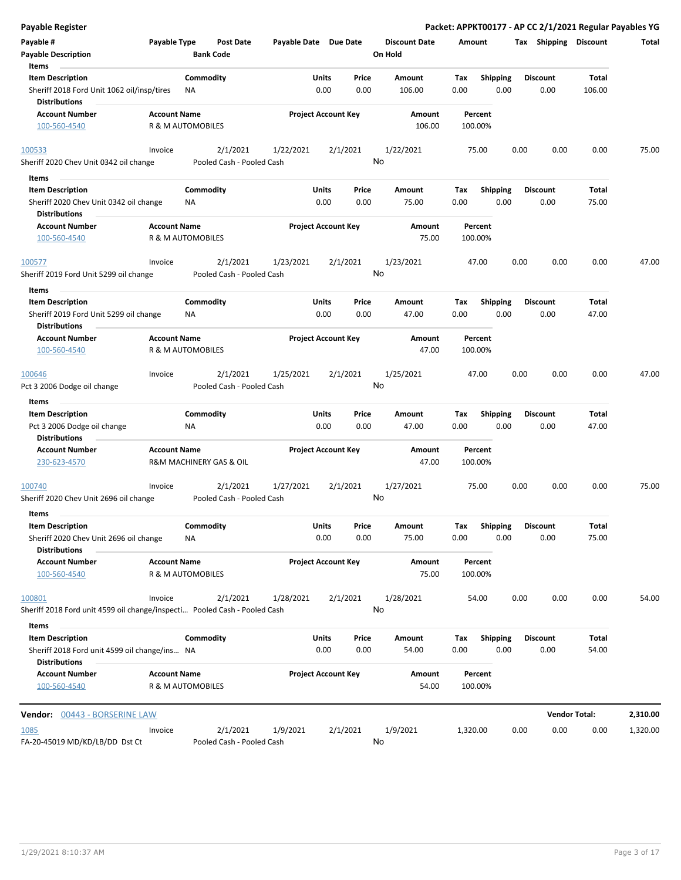| <b>Payable Register</b>                                                            |                     |                   |                                       |                       |                            |                |                      |             |                         |      |                         | Packet: APPKT00177 - AP CC 2/1/2021 Regular Payables YG |          |
|------------------------------------------------------------------------------------|---------------------|-------------------|---------------------------------------|-----------------------|----------------------------|----------------|----------------------|-------------|-------------------------|------|-------------------------|---------------------------------------------------------|----------|
| Payable #                                                                          | Payable Type        |                   | Post Date                             | Payable Date Due Date |                            |                | <b>Discount Date</b> | Amount      |                         |      | Tax Shipping Discount   |                                                         | Total    |
| <b>Payable Description</b>                                                         |                     | <b>Bank Code</b>  |                                       |                       |                            |                | On Hold              |             |                         |      |                         |                                                         |          |
| Items                                                                              |                     |                   |                                       |                       |                            |                |                      |             |                         |      |                         |                                                         |          |
| <b>Item Description</b>                                                            |                     | Commodity         |                                       |                       | Units                      | Price          | Amount               | Tax         | <b>Shipping</b>         |      | <b>Discount</b>         | Total                                                   |          |
| Sheriff 2018 Ford Unit 1062 oil/insp/tires<br><b>Distributions</b>                 |                     | <b>NA</b>         |                                       |                       | 0.00                       | 0.00           | 106.00               | 0.00        | 0.00                    |      | 0.00                    | 106.00                                                  |          |
| <b>Account Number</b>                                                              | <b>Account Name</b> |                   |                                       |                       | <b>Project Account Key</b> |                | Amount               |             | Percent                 |      |                         |                                                         |          |
| 100-560-4540                                                                       |                     | R & M AUTOMOBILES |                                       |                       |                            |                | 106.00               |             | 100.00%                 |      |                         |                                                         |          |
| 100533                                                                             | Invoice             |                   | 2/1/2021                              | 1/22/2021             |                            | 2/1/2021       | 1/22/2021            |             | 75.00                   | 0.00 | 0.00                    | 0.00                                                    | 75.00    |
| Sheriff 2020 Chev Unit 0342 oil change                                             |                     |                   | Pooled Cash - Pooled Cash             |                       |                            |                | No                   |             |                         |      |                         |                                                         |          |
| Items                                                                              |                     |                   |                                       |                       |                            |                |                      |             |                         |      |                         |                                                         |          |
| <b>Item Description</b><br>Sheriff 2020 Chev Unit 0342 oil change                  |                     | Commodity<br>ΝA   |                                       |                       | Units<br>0.00              | Price<br>0.00  | Amount<br>75.00      | Tax<br>0.00 | <b>Shipping</b><br>0.00 |      | <b>Discount</b><br>0.00 | Total<br>75.00                                          |          |
| <b>Distributions</b>                                                               |                     |                   |                                       |                       |                            |                |                      |             |                         |      |                         |                                                         |          |
| <b>Account Number</b><br>100-560-4540                                              | <b>Account Name</b> | R & M AUTOMOBILES |                                       |                       | <b>Project Account Key</b> |                | Amount<br>75.00      |             | Percent<br>100.00%      |      |                         |                                                         |          |
| 100577                                                                             | Invoice             |                   | 2/1/2021                              | 1/23/2021             |                            | 2/1/2021       | 1/23/2021            |             | 47.00                   | 0.00 | 0.00                    | 0.00                                                    | 47.00    |
| Sheriff 2019 Ford Unit 5299 oil change                                             |                     |                   | Pooled Cash - Pooled Cash             |                       |                            | No             |                      |             |                         |      |                         |                                                         |          |
| Items                                                                              |                     |                   |                                       |                       |                            |                |                      |             |                         |      |                         |                                                         |          |
| <b>Item Description</b>                                                            |                     | Commodity         |                                       |                       | Units                      | Price          | Amount               | Tax         | <b>Shipping</b>         |      | <b>Discount</b>         | Total                                                   |          |
| Sheriff 2019 Ford Unit 5299 oil change<br><b>Distributions</b>                     |                     | ΝA                |                                       |                       | 0.00                       | 0.00           | 47.00                | 0.00        | 0.00                    |      | 0.00                    | 47.00                                                   |          |
| <b>Account Number</b>                                                              | <b>Account Name</b> |                   |                                       |                       | <b>Project Account Key</b> |                | Amount               |             | Percent                 |      |                         |                                                         |          |
| 100-560-4540                                                                       |                     | R & M AUTOMOBILES |                                       |                       |                            |                | 47.00                |             | 100.00%                 |      |                         |                                                         |          |
| 100646                                                                             | Invoice             |                   | 2/1/2021                              | 1/25/2021             |                            | 2/1/2021       | 1/25/2021            |             | 47.00                   | 0.00 | 0.00                    | 0.00                                                    | 47.00    |
| Pct 3 2006 Dodge oil change                                                        |                     |                   | Pooled Cash - Pooled Cash             |                       |                            | No             |                      |             |                         |      |                         |                                                         |          |
| Items                                                                              |                     |                   |                                       |                       |                            |                |                      |             |                         |      |                         |                                                         |          |
| <b>Item Description</b>                                                            |                     | Commodity         |                                       |                       | Units                      | Price          | Amount               | Tax         | <b>Shipping</b>         |      | <b>Discount</b>         | Total                                                   |          |
| Pct 3 2006 Dodge oil change<br><b>Distributions</b>                                |                     | NA                |                                       |                       | 0.00                       | 0.00           | 47.00                | 0.00        | 0.00                    |      | 0.00                    | 47.00                                                   |          |
| <b>Account Number</b><br>230-623-4570                                              | <b>Account Name</b> |                   | R&M MACHINERY GAS & OIL               |                       | <b>Project Account Key</b> |                | Amount<br>47.00      |             | Percent<br>100.00%      |      |                         |                                                         |          |
| 100740<br>Sheriff 2020 Chev Unit 2696 oil change                                   | Invoice             |                   | 2/1/2021<br>Pooled Cash - Pooled Cash | 1/27/2021             |                            | 2/1/2021<br>No | 1/27/2021            |             | 75.00                   | 0.00 | 0.00                    | 0.00                                                    | 75.00    |
| Items                                                                              |                     |                   |                                       |                       |                            |                |                      |             |                         |      |                         |                                                         |          |
| <b>Item Description</b>                                                            |                     | Commodity         |                                       |                       | Units                      | Price          | Amount               | Tax         | Shipping                |      | <b>Discount</b>         | Total                                                   |          |
| Sheriff 2020 Chev Unit 2696 oil change                                             |                     | <b>NA</b>         |                                       |                       | 0.00                       | 0.00           | 75.00                | 0.00        | 0.00                    |      | 0.00                    | 75.00                                                   |          |
| <b>Distributions</b>                                                               |                     |                   |                                       |                       |                            |                |                      |             |                         |      |                         |                                                         |          |
| <b>Account Number</b>                                                              | <b>Account Name</b> |                   |                                       |                       | <b>Project Account Key</b> |                | Amount               |             | Percent                 |      |                         |                                                         |          |
| 100-560-4540                                                                       |                     | R & M AUTOMOBILES |                                       |                       |                            |                | 75.00                |             | 100.00%                 |      |                         |                                                         |          |
| 100801                                                                             | Invoice             |                   | 2/1/2021                              | 1/28/2021             |                            | 2/1/2021       | 1/28/2021            |             | 54.00                   | 0.00 | 0.00                    | 0.00                                                    | 54.00    |
| Sheriff 2018 Ford unit 4599 oil change/inspecti Pooled Cash - Pooled Cash<br>Items |                     |                   |                                       |                       |                            |                | No                   |             |                         |      |                         |                                                         |          |
| <b>Item Description</b>                                                            |                     | Commodity         |                                       |                       | Units                      | Price          | Amount               | Tax         | <b>Shipping</b>         |      | <b>Discount</b>         | Total                                                   |          |
| Sheriff 2018 Ford unit 4599 oil change/ins NA<br><b>Distributions</b>              |                     |                   |                                       |                       | 0.00                       | 0.00           | 54.00                | 0.00        | 0.00                    |      | 0.00                    | 54.00                                                   |          |
| <b>Account Number</b>                                                              | <b>Account Name</b> |                   |                                       |                       | <b>Project Account Key</b> |                | Amount               |             | Percent                 |      |                         |                                                         |          |
| 100-560-4540                                                                       |                     | R & M AUTOMOBILES |                                       |                       |                            |                | 54.00                |             | 100.00%                 |      |                         |                                                         |          |
| Vendor: 00443 - BORSERINE LAW                                                      |                     |                   |                                       |                       |                            |                |                      |             |                         |      |                         | <b>Vendor Total:</b>                                    | 2,310.00 |
| 1085                                                                               | Invoice             |                   | 2/1/2021                              | 1/9/2021              |                            | 2/1/2021       | 1/9/2021             | 1,320.00    |                         | 0.00 | 0.00                    | 0.00                                                    | 1,320.00 |
| FA-20-45019 MD/KD/LB/DD Dst Ct                                                     |                     |                   | Pooled Cash - Pooled Cash             |                       |                            |                | No                   |             |                         |      |                         |                                                         |          |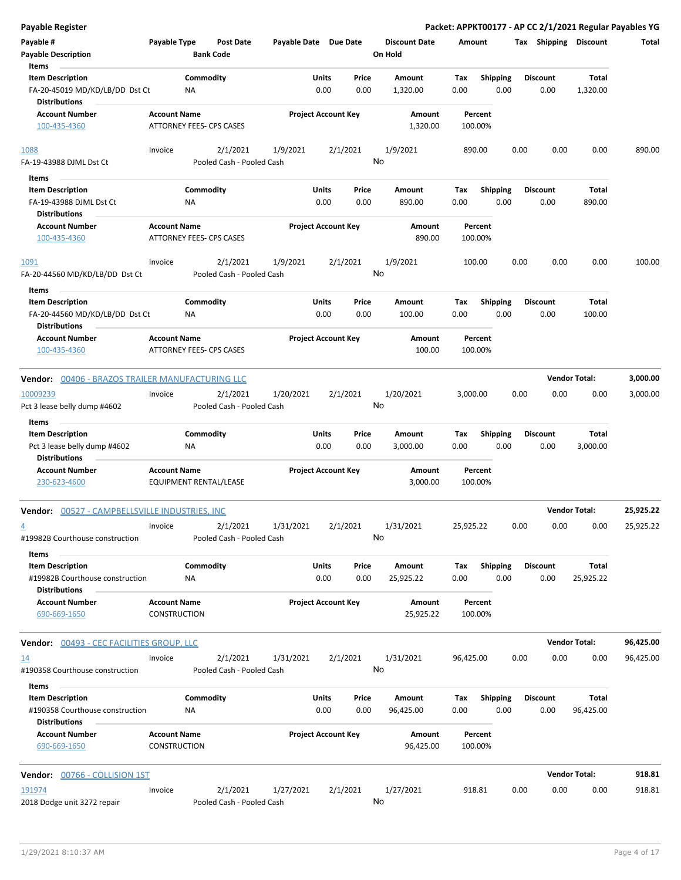| <b>Payable Register</b>                                                            |                                                 |                  |                                       |                       |               |                            |                                 |             |                         |      |                         |                      | Packet: APPKT00177 - AP CC 2/1/2021 Regular Payables YG |
|------------------------------------------------------------------------------------|-------------------------------------------------|------------------|---------------------------------------|-----------------------|---------------|----------------------------|---------------------------------|-------------|-------------------------|------|-------------------------|----------------------|---------------------------------------------------------|
| Payable #<br><b>Payable Description</b>                                            | Payable Type                                    | <b>Bank Code</b> | <b>Post Date</b>                      | Payable Date Due Date |               |                            | <b>Discount Date</b><br>On Hold | Amount      |                         |      | Tax Shipping Discount   |                      | Total                                                   |
| Items                                                                              |                                                 |                  |                                       |                       |               |                            |                                 |             |                         |      |                         |                      |                                                         |
| <b>Item Description</b><br>FA-20-45019 MD/KD/LB/DD Dst Ct<br><b>Distributions</b>  |                                                 | Commodity<br>NA  |                                       |                       | Units<br>0.00 | Price<br>0.00              | Amount<br>1,320.00              | Tax<br>0.00 | Shipping<br>0.00        |      | <b>Discount</b><br>0.00 | Total<br>1,320.00    |                                                         |
| <b>Account Number</b>                                                              | <b>Account Name</b>                             |                  |                                       |                       |               | <b>Project Account Key</b> | Amount                          |             | Percent                 |      |                         |                      |                                                         |
| 100-435-4360                                                                       | ATTORNEY FEES- CPS CASES                        |                  |                                       |                       |               |                            | 1,320.00                        |             | 100.00%                 |      |                         |                      |                                                         |
| 1088<br>FA-19-43988 DJML Dst Ct                                                    | Invoice                                         |                  | 2/1/2021<br>Pooled Cash - Pooled Cash | 1/9/2021              |               | 2/1/2021                   | 1/9/2021<br>No                  |             | 890.00                  | 0.00 | 0.00                    | 0.00                 | 890.00                                                  |
| Items                                                                              |                                                 |                  |                                       |                       |               |                            |                                 |             |                         |      |                         |                      |                                                         |
| <b>Item Description</b><br>FA-19-43988 DJML Dst Ct<br><b>Distributions</b>         |                                                 | Commodity<br>ΝA  |                                       |                       | Units<br>0.00 | Price<br>0.00              | Amount<br>890.00                | Tax<br>0.00 | <b>Shipping</b><br>0.00 |      | <b>Discount</b><br>0.00 | Total<br>890.00      |                                                         |
| <b>Account Number</b>                                                              | <b>Account Name</b>                             |                  |                                       |                       |               | <b>Project Account Key</b> | Amount                          |             | Percent                 |      |                         |                      |                                                         |
| 100-435-4360                                                                       | ATTORNEY FEES- CPS CASES                        |                  |                                       |                       |               |                            | 890.00                          |             | 100.00%                 |      |                         |                      |                                                         |
| <u> 1091</u><br>FA-20-44560 MD/KD/LB/DD Dst Ct                                     | Invoice                                         |                  | 2/1/2021<br>Pooled Cash - Pooled Cash | 1/9/2021              |               | 2/1/2021                   | 1/9/2021<br>No                  |             | 100.00                  | 0.00 | 0.00                    | 0.00                 | 100.00                                                  |
| Items                                                                              |                                                 |                  |                                       |                       |               |                            |                                 |             |                         |      |                         |                      |                                                         |
| <b>Item Description</b><br>FA-20-44560 MD/KD/LB/DD Dst Ct                          |                                                 | Commodity<br>ΝA  |                                       |                       | Units<br>0.00 | Price<br>0.00              | Amount<br>100.00                | Tax<br>0.00 | <b>Shipping</b><br>0.00 |      | <b>Discount</b><br>0.00 | Total<br>100.00      |                                                         |
| <b>Distributions</b><br><b>Account Number</b><br>100-435-4360                      | <b>Account Name</b><br>ATTORNEY FEES- CPS CASES |                  |                                       |                       |               | <b>Project Account Key</b> | Amount<br>100.00                |             | Percent<br>100.00%      |      |                         |                      |                                                         |
| Vendor: 00406 - BRAZOS TRAILER MANUFACTURING LLC                                   |                                                 |                  |                                       |                       |               |                            |                                 |             |                         |      |                         | <b>Vendor Total:</b> | 3,000.00                                                |
| 10009239                                                                           | Invoice                                         |                  | 2/1/2021                              | 1/20/2021             |               | 2/1/2021                   | 1/20/2021                       | 3,000.00    |                         | 0.00 | 0.00                    | 0.00                 | 3,000.00                                                |
| Pct 3 lease belly dump #4602<br>Items                                              |                                                 |                  | Pooled Cash - Pooled Cash             |                       |               |                            | No                              |             |                         |      |                         |                      |                                                         |
| <b>Item Description</b><br>Pct 3 lease belly dump #4602<br><b>Distributions</b>    |                                                 | Commodity<br>NA  |                                       |                       | Units<br>0.00 | Price<br>0.00              | Amount<br>3,000.00              | Tax<br>0.00 | <b>Shipping</b><br>0.00 |      | <b>Discount</b><br>0.00 | Total<br>3,000.00    |                                                         |
| <b>Account Number</b><br>230-623-4600                                              | <b>Account Name</b><br>EQUIPMENT RENTAL/LEASE   |                  |                                       |                       |               | <b>Project Account Key</b> | Amount<br>3,000.00              |             | Percent<br>100.00%      |      |                         |                      |                                                         |
| Vendor: 00527 - CAMPBELLSVILLE INDUSTRIES, INC                                     |                                                 |                  |                                       |                       |               |                            |                                 |             |                         |      |                         | <b>Vendor Total:</b> | 25,925.22                                               |
| $\overline{4}$<br>#19982B Courthouse construction                                  | Invoice                                         |                  | 2/1/2021<br>Pooled Cash - Pooled Cash | 1/31/2021             |               | 2/1/2021                   | 1/31/2021<br>No                 | 25,925.22   |                         | 0.00 | 0.00                    | 0.00                 | 25,925.22                                               |
| Items                                                                              |                                                 |                  |                                       |                       |               |                            |                                 |             |                         |      |                         |                      |                                                         |
| <b>Item Description</b><br>#19982B Courthouse construction<br><b>Distributions</b> |                                                 | Commodity<br>ΝA  |                                       |                       | Units<br>0.00 | Price<br>0.00              | Amount<br>25,925.22             | Tax<br>0.00 | Shipping<br>0.00        |      | Discount<br>0.00        | Total<br>25,925.22   |                                                         |
| <b>Account Number</b><br>690-669-1650                                              | <b>Account Name</b><br><b>CONSTRUCTION</b>      |                  |                                       |                       |               | <b>Project Account Key</b> | Amount<br>25,925.22             |             | Percent<br>100.00%      |      |                         |                      |                                                         |
| <b>Vendor: 00493 - CEC FACILITIES GROUP, LLC</b>                                   |                                                 |                  |                                       |                       |               |                            |                                 |             |                         |      |                         | <b>Vendor Total:</b> | 96,425.00                                               |
| <u>14</u><br>#190358 Courthouse construction                                       | Invoice                                         |                  | 2/1/2021<br>Pooled Cash - Pooled Cash | 1/31/2021             |               | 2/1/2021                   | 1/31/2021<br>No                 | 96,425.00   |                         | 0.00 | 0.00                    | 0.00                 | 96,425.00                                               |
| Items                                                                              |                                                 |                  |                                       |                       |               |                            |                                 |             |                         |      |                         |                      |                                                         |
| <b>Item Description</b><br>#190358 Courthouse construction<br><b>Distributions</b> |                                                 | Commodity<br>NA  |                                       |                       | Units<br>0.00 | Price<br>0.00              | Amount<br>96,425.00             | Tax<br>0.00 | <b>Shipping</b><br>0.00 |      | Discount<br>0.00        | Total<br>96,425.00   |                                                         |
| <b>Account Number</b><br>690-669-1650                                              | <b>Account Name</b><br>CONSTRUCTION             |                  |                                       |                       |               | <b>Project Account Key</b> | Amount<br>96,425.00             |             | Percent<br>100.00%      |      |                         |                      |                                                         |
| Vendor: 00766 - COLLISION 1ST                                                      |                                                 |                  |                                       |                       |               |                            |                                 |             |                         |      |                         | <b>Vendor Total:</b> | 918.81                                                  |
| 191974                                                                             | Invoice                                         |                  | 2/1/2021                              | 1/27/2021             |               | 2/1/2021                   | 1/27/2021                       |             | 918.81                  | 0.00 | 0.00                    | 0.00                 | 918.81                                                  |
| 2018 Dodge unit 3272 repair                                                        |                                                 |                  | Pooled Cash - Pooled Cash             |                       |               |                            | No                              |             |                         |      |                         |                      |                                                         |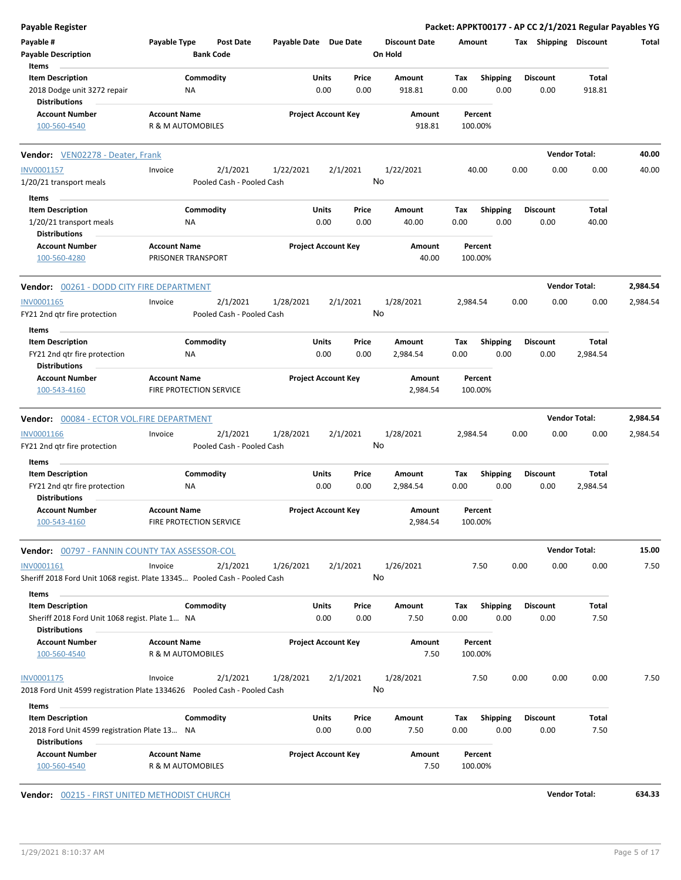| <b>Payable Register</b>                                                                           |                                                |                           |           |                            |    |                                 |             |                         |      |                         | Packet: APPKT00177 - AP CC 2/1/2021 Regular Payables YG |          |
|---------------------------------------------------------------------------------------------------|------------------------------------------------|---------------------------|-----------|----------------------------|----|---------------------------------|-------------|-------------------------|------|-------------------------|---------------------------------------------------------|----------|
| Payable #<br><b>Payable Description</b>                                                           | Payable Type<br><b>Bank Code</b>               | <b>Post Date</b>          |           | Payable Date Due Date      |    | <b>Discount Date</b><br>On Hold | Amount      |                         |      | Tax Shipping Discount   |                                                         | Total    |
| Items                                                                                             |                                                |                           |           |                            |    |                                 |             |                         |      |                         |                                                         |          |
| <b>Item Description</b><br>2018 Dodge unit 3272 repair                                            | Commodity<br>ΝA                                |                           | Units     | Price<br>0.00<br>0.00      |    | Amount<br>918.81                | Tax<br>0.00 | Shipping<br>0.00        |      | <b>Discount</b><br>0.00 | Total<br>918.81                                         |          |
| <b>Distributions</b>                                                                              |                                                |                           |           |                            |    |                                 |             |                         |      |                         |                                                         |          |
| <b>Account Number</b><br>100-560-4540                                                             | <b>Account Name</b><br>R & M AUTOMOBILES       |                           |           | <b>Project Account Key</b> |    | Amount<br>918.81                | 100.00%     | Percent                 |      |                         |                                                         |          |
| Vendor: VEN02278 - Deater, Frank                                                                  |                                                |                           |           |                            |    |                                 |             |                         |      |                         | <b>Vendor Total:</b>                                    | 40.00    |
| INV0001157                                                                                        | Invoice                                        | 2/1/2021                  | 1/22/2021 | 2/1/2021                   |    | 1/22/2021                       |             | 40.00                   | 0.00 | 0.00                    | 0.00                                                    | 40.00    |
| 1/20/21 transport meals                                                                           |                                                | Pooled Cash - Pooled Cash |           |                            | No |                                 |             |                         |      |                         |                                                         |          |
| Items                                                                                             |                                                |                           |           |                            |    |                                 |             |                         |      |                         |                                                         |          |
| <b>Item Description</b>                                                                           | Commodity                                      |                           | Units     | Price                      |    | Amount                          | Tax         | <b>Shipping</b>         |      | <b>Discount</b>         | Total                                                   |          |
| 1/20/21 transport meals<br><b>Distributions</b>                                                   | NA                                             |                           |           | 0.00<br>0.00               |    | 40.00                           | 0.00        | 0.00                    |      | 0.00                    | 40.00                                                   |          |
| <b>Account Number</b><br>100-560-4280                                                             | <b>Account Name</b><br>PRISONER TRANSPORT      |                           |           | <b>Project Account Key</b> |    | Amount<br>40.00                 | 100.00%     | Percent                 |      |                         |                                                         |          |
| Vendor: 00261 - DODD CITY FIRE DEPARTMENT                                                         |                                                |                           |           |                            |    |                                 |             |                         |      | <b>Vendor Total:</b>    |                                                         | 2,984.54 |
| INV0001165                                                                                        | Invoice                                        | 2/1/2021                  | 1/28/2021 | 2/1/2021                   |    | 1/28/2021                       | 2,984.54    |                         | 0.00 | 0.00                    | 0.00                                                    | 2,984.54 |
| FY21 2nd gtr fire protection                                                                      |                                                | Pooled Cash - Pooled Cash |           |                            | No |                                 |             |                         |      |                         |                                                         |          |
| Items                                                                                             |                                                |                           |           |                            |    |                                 |             |                         |      |                         |                                                         |          |
| <b>Item Description</b><br>FY21 2nd qtr fire protection                                           | Commodity<br>ΝA                                |                           | Units     | Price<br>0.00<br>0.00      |    | Amount<br>2,984.54              | Tax<br>0.00 | <b>Shipping</b><br>0.00 |      | <b>Discount</b><br>0.00 | Total<br>2,984.54                                       |          |
| <b>Distributions</b><br><b>Account Number</b>                                                     | <b>Account Name</b>                            |                           |           | <b>Project Account Key</b> |    | Amount                          |             | Percent                 |      |                         |                                                         |          |
| 100-543-4160                                                                                      | FIRE PROTECTION SERVICE                        |                           |           |                            |    | 2,984.54                        | 100.00%     |                         |      |                         |                                                         |          |
| Vendor: 00084 - ECTOR VOL.FIRE DEPARTMENT                                                         |                                                |                           |           |                            |    |                                 |             |                         |      |                         | <b>Vendor Total:</b>                                    | 2,984.54 |
| INV0001166                                                                                        | Invoice                                        | 2/1/2021                  | 1/28/2021 | 2/1/2021                   |    | 1/28/2021                       | 2,984.54    |                         | 0.00 | 0.00                    | 0.00                                                    | 2,984.54 |
| FY21 2nd qtr fire protection                                                                      |                                                | Pooled Cash - Pooled Cash |           |                            | No |                                 |             |                         |      |                         |                                                         |          |
| Items                                                                                             |                                                |                           |           |                            |    |                                 |             |                         |      |                         |                                                         |          |
| <b>Item Description</b>                                                                           | Commodity                                      |                           | Units     | Price                      |    | Amount                          | Tax         | <b>Shipping</b>         |      | <b>Discount</b>         | Total                                                   |          |
| FY21 2nd qtr fire protection<br><b>Distributions</b>                                              | NA                                             |                           |           | 0.00<br>0.00               |    | 2,984.54                        | 0.00        | 0.00                    |      | 0.00                    | 2,984.54                                                |          |
| <b>Account Number</b><br><u>100-543-4160</u>                                                      | <b>Account Name</b><br>FIRE PROTECTION SERVICE |                           |           | <b>Project Account Key</b> |    | Amount<br>2,984.54              | 100.00%     | Percent                 |      |                         |                                                         |          |
| Vendor: 00797 - FANNIN COUNTY TAX ASSESSOR-COL                                                    |                                                |                           |           |                            |    |                                 |             |                         |      |                         | <b>Vendor Total:</b>                                    | 15.00    |
| INV0001161<br>Sheriff 2018 Ford Unit 1068 regist. Plate 13345 Pooled Cash - Pooled Cash           | Invoice                                        | 2/1/2021                  | 1/26/2021 | 2/1/2021                   | No | 1/26/2021                       |             | 7.50                    | 0.00 | 0.00                    | 0.00                                                    | 7.50     |
| Items                                                                                             |                                                |                           |           |                            |    |                                 |             |                         |      |                         |                                                         |          |
| <b>Item Description</b><br>Sheriff 2018 Ford Unit 1068 regist. Plate 1 NA<br><b>Distributions</b> | Commodity                                      |                           | Units     | Price<br>0.00<br>0.00      |    | Amount<br>7.50                  | Tax<br>0.00 | <b>Shipping</b><br>0.00 |      | <b>Discount</b><br>0.00 | Total<br>7.50                                           |          |
| <b>Account Number</b><br>100-560-4540                                                             | <b>Account Name</b><br>R & M AUTOMOBILES       |                           |           | <b>Project Account Key</b> |    | Amount<br>7.50                  | 100.00%     | Percent                 |      |                         |                                                         |          |
| INV0001175                                                                                        | Invoice                                        | 2/1/2021                  | 1/28/2021 | 2/1/2021                   |    | 1/28/2021                       |             | 7.50                    | 0.00 | 0.00                    | 0.00                                                    | 7.50     |
| 2018 Ford Unit 4599 registration Plate 1334626  Pooled Cash - Pooled Cash                         |                                                |                           |           |                            | No |                                 |             |                         |      |                         |                                                         |          |
| Items                                                                                             |                                                |                           |           |                            |    |                                 |             |                         |      |                         |                                                         |          |
| <b>Item Description</b>                                                                           | Commodity                                      |                           | Units     | Price                      |    | Amount                          | Tax         | <b>Shipping</b>         |      | <b>Discount</b>         | Total                                                   |          |
| 2018 Ford Unit 4599 registration Plate 13 NA<br><b>Distributions</b>                              |                                                |                           |           | 0.00<br>0.00               |    | 7.50                            | 0.00        | 0.00                    |      | 0.00                    | 7.50                                                    |          |
| <b>Account Number</b><br>100-560-4540                                                             | <b>Account Name</b><br>R & M AUTOMOBILES       |                           |           | <b>Project Account Key</b> |    | Amount<br>7.50                  | 100.00%     | Percent                 |      |                         |                                                         |          |

**Vendor:** 00215 - FIRST UNITED METHODIST CHURCH **Vendor Total: 634.33**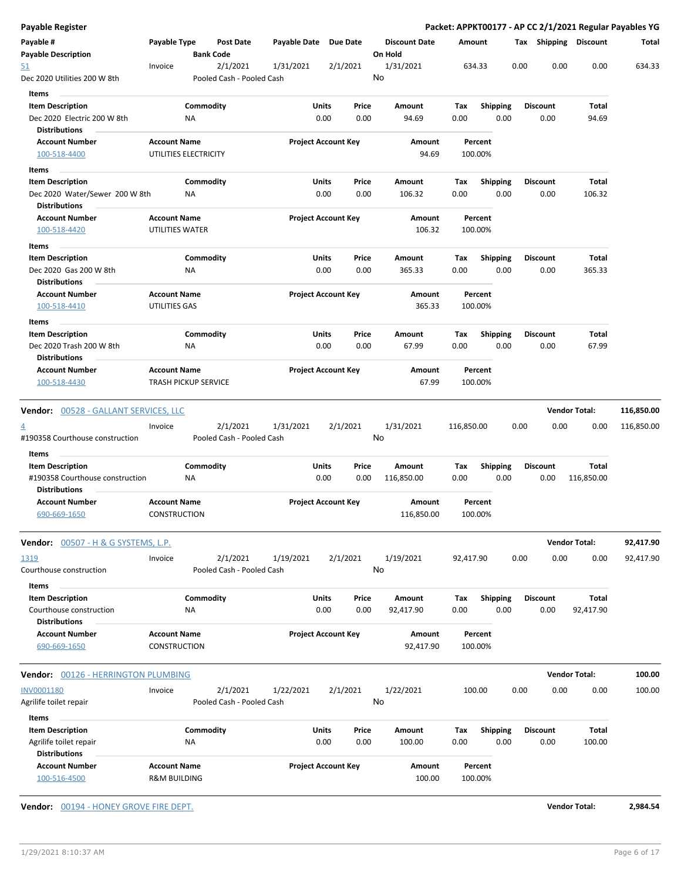| Payable #                                                  |                                                    |                  |                                       |                       |                            |                                 |             |                         |      |                         | Packet: APPKT00177 - AP CC 2/1/2021 Regular Payables YG |                        |
|------------------------------------------------------------|----------------------------------------------------|------------------|---------------------------------------|-----------------------|----------------------------|---------------------------------|-------------|-------------------------|------|-------------------------|---------------------------------------------------------|------------------------|
| <b>Payable Description</b>                                 | Payable Type                                       | <b>Bank Code</b> | <b>Post Date</b>                      | Payable Date Due Date |                            | <b>Discount Date</b><br>On Hold |             | Amount                  |      |                         | Tax Shipping Discount                                   | Total                  |
| 51<br>Dec 2020 Utilities 200 W 8th                         | Invoice                                            |                  | 2/1/2021<br>Pooled Cash - Pooled Cash | 1/31/2021             | 2/1/2021                   | 1/31/2021<br>No                 |             | 634.33                  | 0.00 | 0.00                    | 0.00                                                    | 634.33                 |
| Items                                                      |                                                    |                  |                                       |                       |                            |                                 |             |                         |      |                         |                                                         |                        |
| <b>Item Description</b><br>Dec 2020 Electric 200 W 8th     |                                                    | Commodity<br>ΝA  |                                       | Units                 | Price<br>0.00<br>0.00      | Amount<br>94.69                 | Tax<br>0.00 | <b>Shipping</b><br>0.00 |      | <b>Discount</b><br>0.00 | Total<br>94.69                                          |                        |
| <b>Distributions</b><br><b>Account Number</b>              | <b>Account Name</b>                                |                  |                                       |                       |                            |                                 |             |                         |      |                         |                                                         |                        |
| 100-518-4400                                               | UTILITIES ELECTRICITY                              |                  |                                       |                       | <b>Project Account Key</b> | Amount<br>94.69                 |             | Percent<br>100.00%      |      |                         |                                                         |                        |
|                                                            |                                                    |                  |                                       |                       |                            |                                 |             |                         |      |                         |                                                         |                        |
| Items<br><b>Item Description</b>                           |                                                    | Commodity        |                                       | Units                 | Price                      | Amount                          | Tax         | Shipping                |      | <b>Discount</b>         | Total                                                   |                        |
| Dec 2020 Water/Sewer 200 W 8th                             |                                                    | NA               |                                       |                       | 0.00<br>0.00               | 106.32                          | 0.00        | 0.00                    |      | 0.00                    | 106.32                                                  |                        |
| <b>Distributions</b>                                       |                                                    |                  |                                       |                       |                            |                                 |             |                         |      |                         |                                                         |                        |
| <b>Account Number</b>                                      | <b>Account Name</b>                                |                  |                                       |                       | <b>Project Account Key</b> | Amount                          |             | Percent                 |      |                         |                                                         |                        |
| 100-518-4420                                               | UTILITIES WATER                                    |                  |                                       |                       |                            | 106.32                          |             | 100.00%                 |      |                         |                                                         |                        |
| Items                                                      |                                                    |                  |                                       |                       |                            |                                 |             |                         |      |                         |                                                         |                        |
| <b>Item Description</b>                                    |                                                    | Commodity        |                                       | Units                 | Price                      | Amount                          | Tax         | <b>Shipping</b>         |      | <b>Discount</b>         | Total                                                   |                        |
| Dec 2020 Gas 200 W 8th<br><b>Distributions</b>             |                                                    | NA               |                                       |                       | 0.00<br>0.00               | 365.33                          | 0.00        | 0.00                    |      | 0.00                    | 365.33                                                  |                        |
| <b>Account Number</b><br>100-518-4410                      | <b>Account Name</b><br>UTILITIES GAS               |                  |                                       |                       | <b>Project Account Key</b> | Amount<br>365.33                |             | Percent<br>100.00%      |      |                         |                                                         |                        |
| Items                                                      |                                                    |                  |                                       |                       |                            |                                 |             |                         |      |                         |                                                         |                        |
| <b>Item Description</b>                                    |                                                    | Commodity        |                                       | Units                 | Price                      | Amount                          | Tax         | <b>Shipping</b>         |      | <b>Discount</b>         | Total                                                   |                        |
| Dec 2020 Trash 200 W 8th                                   |                                                    | ΝA               |                                       |                       | 0.00<br>0.00               | 67.99                           | 0.00        | 0.00                    |      | 0.00                    | 67.99                                                   |                        |
| <b>Distributions</b>                                       |                                                    |                  |                                       |                       |                            |                                 |             |                         |      |                         |                                                         |                        |
| <b>Account Number</b><br>100-518-4430                      | <b>Account Name</b><br><b>TRASH PICKUP SERVICE</b> |                  |                                       |                       | <b>Project Account Key</b> | Amount<br>67.99                 |             | Percent<br>100.00%      |      |                         |                                                         |                        |
|                                                            |                                                    |                  |                                       |                       |                            |                                 |             |                         |      |                         |                                                         |                        |
| <b>Vendor: 00528 - GALLANT SERVICES, LLC</b>               |                                                    |                  |                                       |                       |                            |                                 |             |                         |      |                         | <b>Vendor Total:</b>                                    | 116,850.00             |
| $\overline{4}$<br>#190358 Courthouse construction          | Invoice                                            |                  | 2/1/2021<br>Pooled Cash - Pooled Cash | 1/31/2021             | 2/1/2021                   | 1/31/2021<br>No                 |             | 116,850.00              | 0.00 | 0.00                    | 0.00                                                    | 116,850.00             |
|                                                            |                                                    |                  |                                       |                       |                            |                                 |             |                         |      |                         |                                                         |                        |
| Items                                                      |                                                    |                  |                                       |                       |                            |                                 |             |                         |      |                         |                                                         |                        |
| <b>Item Description</b><br>#190358 Courthouse construction |                                                    | Commodity<br>ΝA  |                                       | Units                 | Price<br>0.00<br>0.00      | Amount<br>116,850.00            | Tax<br>0.00 | <b>Shipping</b><br>0.00 |      | <b>Discount</b><br>0.00 | Total<br>116,850.00                                     |                        |
| <b>Distributions</b>                                       |                                                    |                  |                                       |                       |                            |                                 |             |                         |      |                         |                                                         |                        |
| <b>Account Number</b><br>690-669-1650                      | <b>Account Name</b><br><b>CONSTRUCTION</b>         |                  |                                       |                       | <b>Project Account Key</b> | Amount<br>116,850.00            |             | Percent<br>100.00%      |      |                         |                                                         |                        |
| Vendor: 00507 - H & G SYSTEMS, L.P.                        |                                                    |                  |                                       |                       |                            |                                 |             |                         |      |                         | <b>Vendor Total:</b>                                    |                        |
| 1319                                                       | Invoice                                            |                  | 2/1/2021                              | 1/19/2021             | 2/1/2021                   | 1/19/2021                       |             | 92,417.90               | 0.00 | 0.00                    | 0.00                                                    |                        |
| Courthouse construction                                    |                                                    |                  | Pooled Cash - Pooled Cash             |                       |                            | No                              |             |                         |      |                         |                                                         | 92,417.90<br>92,417.90 |
| Items                                                      |                                                    |                  |                                       |                       |                            |                                 |             |                         |      |                         |                                                         |                        |
| <b>Item Description</b>                                    |                                                    | Commodity        |                                       | Units                 | Price                      | Amount                          | Tax         | <b>Shipping</b>         |      | <b>Discount</b>         | Total                                                   |                        |
| Courthouse construction<br><b>Distributions</b>            |                                                    | NA               |                                       |                       | 0.00<br>0.00               | 92,417.90                       | 0.00        | 0.00                    |      | 0.00                    | 92,417.90                                               |                        |
| <b>Account Number</b><br>690-669-1650                      | <b>Account Name</b><br>CONSTRUCTION                |                  |                                       |                       | <b>Project Account Key</b> | Amount<br>92,417.90             |             | Percent<br>100.00%      |      |                         |                                                         |                        |
| Vendor: 00126 - HERRINGTON PLUMBING                        |                                                    |                  |                                       |                       |                            |                                 |             |                         |      |                         | <b>Vendor Total:</b>                                    | 100.00                 |
| INV0001180                                                 | Invoice                                            |                  | 2/1/2021                              | 1/22/2021             | 2/1/2021                   | 1/22/2021                       |             | 100.00                  | 0.00 | 0.00                    | 0.00                                                    | 100.00                 |
| Agrilife toilet repair                                     |                                                    |                  | Pooled Cash - Pooled Cash             |                       |                            | No                              |             |                         |      |                         |                                                         |                        |
| Items                                                      |                                                    |                  |                                       |                       |                            |                                 |             |                         |      |                         |                                                         |                        |
| <b>Item Description</b>                                    |                                                    | Commodity        |                                       | <b>Units</b>          | Price                      | Amount                          | Tax         | <b>Shipping</b>         |      | <b>Discount</b>         | Total                                                   |                        |
| Agrilife toilet repair                                     |                                                    | ΝA               |                                       |                       | 0.00<br>0.00               | 100.00                          | 0.00        | 0.00                    |      | 0.00                    | 100.00                                                  |                        |
| <b>Distributions</b><br><b>Account Number</b>              | <b>Account Name</b>                                |                  |                                       |                       | <b>Project Account Key</b> | Amount                          |             |                         |      |                         |                                                         |                        |

**Vendor:** 00194 - HONEY GROVE FIRE DEPT. **Vendor Total: 2,984.54**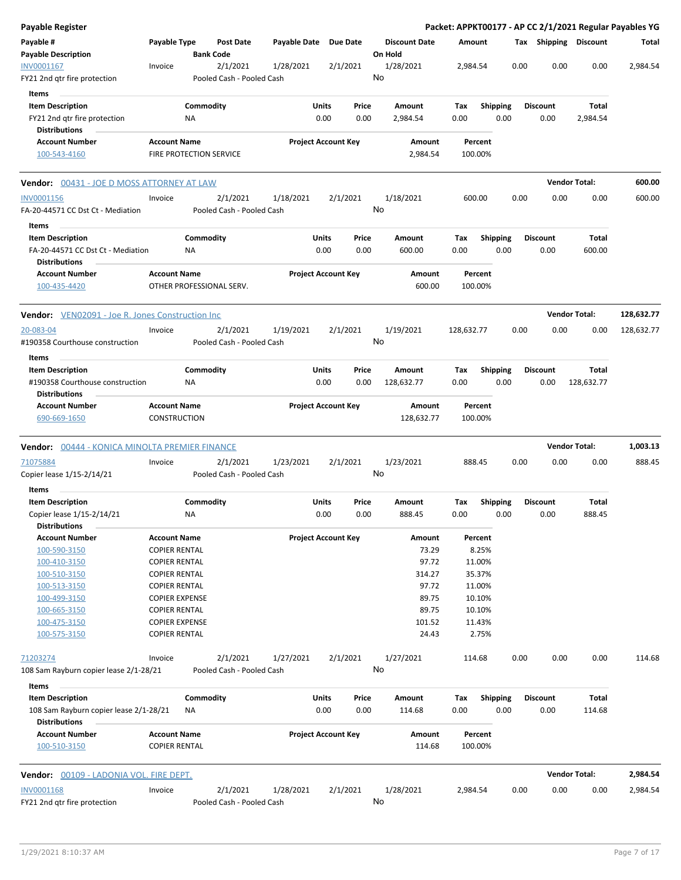| Payable Register                                                                              |                                               |                                |                                       |                       |                                |    |                                 |               |                         |      |                         |                       | Packet: APPKT00177 - AP CC 2/1/2021 Regular Payables YG |
|-----------------------------------------------------------------------------------------------|-----------------------------------------------|--------------------------------|---------------------------------------|-----------------------|--------------------------------|----|---------------------------------|---------------|-------------------------|------|-------------------------|-----------------------|---------------------------------------------------------|
| Payable #<br><b>Payable Description</b>                                                       | Payable Type                                  | <b>Bank Code</b>               | <b>Post Date</b>                      | Payable Date Due Date |                                |    | <b>Discount Date</b><br>On Hold | <b>Amount</b> |                         |      |                         | Tax Shipping Discount | Total                                                   |
| INV0001167                                                                                    | Invoice                                       |                                | 2/1/2021                              | 1/28/2021             | 2/1/2021                       |    | 1/28/2021                       | 2,984.54      |                         | 0.00 | 0.00                    | 0.00                  | 2,984.54                                                |
| FY21 2nd qtr fire protection                                                                  |                                               |                                | Pooled Cash - Pooled Cash             |                       |                                | No |                                 |               |                         |      |                         |                       |                                                         |
| Items                                                                                         |                                               |                                |                                       |                       |                                |    |                                 |               |                         |      |                         |                       |                                                         |
| <b>Item Description</b><br>FY21 2nd qtr fire protection<br><b>Distributions</b>               |                                               | Commodity<br>ΝA                |                                       |                       | Units<br>Price<br>0.00<br>0.00 |    | Amount<br>2,984.54              | Tax<br>0.00   | <b>Shipping</b><br>0.00 |      | <b>Discount</b><br>0.00 | Total<br>2,984.54     |                                                         |
| <b>Account Number</b><br>100-543-4160                                                         | <b>Account Name</b>                           | <b>FIRE PROTECTION SERVICE</b> |                                       |                       | <b>Project Account Key</b>     |    | Amount<br>2,984.54              | 100.00%       | Percent                 |      |                         |                       |                                                         |
| Vendor: 00431 - JOE D MOSS ATTORNEY AT LAW                                                    |                                               |                                |                                       |                       |                                |    |                                 |               |                         |      |                         | <b>Vendor Total:</b>  | 600.00                                                  |
| INV0001156<br>FA-20-44571 CC Dst Ct - Mediation                                               | Invoice                                       |                                | 2/1/2021<br>Pooled Cash - Pooled Cash | 1/18/2021             | 2/1/2021                       | No | 1/18/2021                       | 600.00        |                         | 0.00 | 0.00                    | 0.00                  | 600.00                                                  |
| Items<br><b>Item Description</b><br>FA-20-44571 CC Dst Ct - Mediation<br><b>Distributions</b> |                                               | Commodity<br>NA                |                                       |                       | Units<br>Price<br>0.00<br>0.00 |    | Amount<br>600.00                | Tax<br>0.00   | <b>Shipping</b><br>0.00 |      | <b>Discount</b><br>0.00 | Total<br>600.00       |                                                         |
| <b>Account Number</b><br>100-435-4420                                                         | <b>Account Name</b>                           |                                | OTHER PROFESSIONAL SERV.              |                       | <b>Project Account Key</b>     |    | Amount<br>600.00                | 100.00%       | Percent                 |      |                         |                       |                                                         |
| <b>Vendor:</b> VEN02091 - Joe R. Jones Construction Inc                                       |                                               |                                |                                       |                       |                                |    |                                 |               |                         |      |                         | <b>Vendor Total:</b>  | 128,632.77                                              |
| 20-083-04<br>#190358 Courthouse construction                                                  | Invoice                                       |                                | 2/1/2021<br>Pooled Cash - Pooled Cash | 1/19/2021             | 2/1/2021                       | No | 1/19/2021                       | 128,632.77    |                         | 0.00 | 0.00                    | 0.00                  | 128,632.77                                              |
| Items                                                                                         |                                               |                                |                                       |                       |                                |    |                                 |               |                         |      |                         |                       |                                                         |
| <b>Item Description</b><br>#190358 Courthouse construction<br><b>Distributions</b>            |                                               | Commodity<br>ΝA                |                                       |                       | Units<br>Price<br>0.00<br>0.00 |    | Amount<br>128,632.77            | Tax<br>0.00   | <b>Shipping</b><br>0.00 |      | <b>Discount</b><br>0.00 | Total<br>128,632.77   |                                                         |
| <b>Account Number</b><br>690-669-1650                                                         | <b>Account Name</b><br>CONSTRUCTION           |                                |                                       |                       | <b>Project Account Key</b>     |    | Amount<br>128,632.77            | 100.00%       | Percent                 |      |                         |                       |                                                         |
| <b>Vendor:</b> 00444 - KONICA MINOLTA PREMIER FINANCE                                         |                                               |                                |                                       |                       |                                |    |                                 |               |                         |      |                         | <b>Vendor Total:</b>  | 1,003.13                                                |
| 71075884<br>Copier lease 1/15-2/14/21                                                         | Invoice                                       |                                | 2/1/2021<br>Pooled Cash - Pooled Cash | 1/23/2021             | 2/1/2021                       | No | 1/23/2021                       | 888.45        |                         | 0.00 | 0.00                    | 0.00                  | 888.45                                                  |
| Items                                                                                         |                                               |                                |                                       |                       |                                |    |                                 |               |                         |      |                         |                       |                                                         |
| <b>Item Description</b>                                                                       |                                               | Commodity                      |                                       |                       | Units<br>Price                 |    | Amount                          | Tax           | <b>Shipping</b>         |      | <b>Discount</b>         | Total                 |                                                         |
| Copier lease 1/15-2/14/21<br><b>Distributions</b>                                             |                                               | ΝA                             |                                       |                       | 0.00<br>0.00                   |    | 888.45                          | 0.00          | 0.00                    |      | 0.00                    | 888.45                |                                                         |
| <b>Account Number</b>                                                                         | <b>Account Name</b>                           |                                |                                       |                       | <b>Project Account Key</b>     |    | Amount                          |               | Percent                 |      |                         |                       |                                                         |
| 100-590-3150                                                                                  | <b>COPIER RENTAL</b>                          |                                |                                       |                       |                                |    | 73.29                           |               | 8.25%                   |      |                         |                       |                                                         |
| 100-410-3150                                                                                  | <b>COPIER RENTAL</b>                          |                                |                                       |                       |                                |    | 97.72                           |               | 11.00%                  |      |                         |                       |                                                         |
| 100-510-3150                                                                                  | <b>COPIER RENTAL</b>                          |                                |                                       |                       |                                |    | 314.27                          |               | 35.37%                  |      |                         |                       |                                                         |
| 100-513-3150                                                                                  | <b>COPIER RENTAL</b><br><b>COPIER EXPENSE</b> |                                |                                       |                       |                                |    | 97.72<br>89.75                  |               | 11.00%<br>10.10%        |      |                         |                       |                                                         |
| 100-499-3150<br>100-665-3150                                                                  | <b>COPIER RENTAL</b>                          |                                |                                       |                       |                                |    | 89.75                           |               | 10.10%                  |      |                         |                       |                                                         |
| 100-475-3150                                                                                  | <b>COPIER EXPENSE</b>                         |                                |                                       |                       |                                |    | 101.52                          |               | 11.43%                  |      |                         |                       |                                                         |
| 100-575-3150                                                                                  | <b>COPIER RENTAL</b>                          |                                |                                       |                       |                                |    | 24.43                           |               | 2.75%                   |      |                         |                       |                                                         |
| 71203274                                                                                      | Invoice                                       |                                | 2/1/2021                              | 1/27/2021             | 2/1/2021                       |    | 1/27/2021                       | 114.68        |                         | 0.00 | 0.00                    | 0.00                  | 114.68                                                  |
| 108 Sam Rayburn copier lease 2/1-28/21<br>Items                                               |                                               |                                | Pooled Cash - Pooled Cash             |                       |                                | No |                                 |               |                         |      |                         |                       |                                                         |
| <b>Item Description</b>                                                                       |                                               | Commodity                      |                                       |                       | Units<br>Price                 |    | Amount                          | Tax           | <b>Shipping</b>         |      | <b>Discount</b>         | Total                 |                                                         |
| 108 Sam Rayburn copier lease 2/1-28/21<br><b>Distributions</b>                                |                                               | <b>NA</b>                      |                                       |                       | 0.00<br>0.00                   |    | 114.68                          | 0.00          | 0.00                    |      | 0.00                    | 114.68                |                                                         |
| <b>Account Number</b><br>100-510-3150                                                         | <b>Account Name</b><br><b>COPIER RENTAL</b>   |                                |                                       |                       | <b>Project Account Key</b>     |    | Amount<br>114.68                | 100.00%       | Percent                 |      |                         |                       |                                                         |
| <b>Vendor:</b> 00109 - LADONIA VOL. FIRE DEPT.                                                |                                               |                                |                                       |                       |                                |    |                                 |               |                         |      |                         | <b>Vendor Total:</b>  | 2,984.54                                                |
| <b>INV0001168</b>                                                                             | Invoice                                       |                                | 2/1/2021                              | 1/28/2021             | 2/1/2021                       |    | 1/28/2021                       | 2,984.54      |                         | 0.00 | 0.00                    | 0.00                  | 2,984.54                                                |
| FY21 2nd gtr fire protection                                                                  |                                               |                                | Pooled Cash - Pooled Cash             |                       |                                | No |                                 |               |                         |      |                         |                       |                                                         |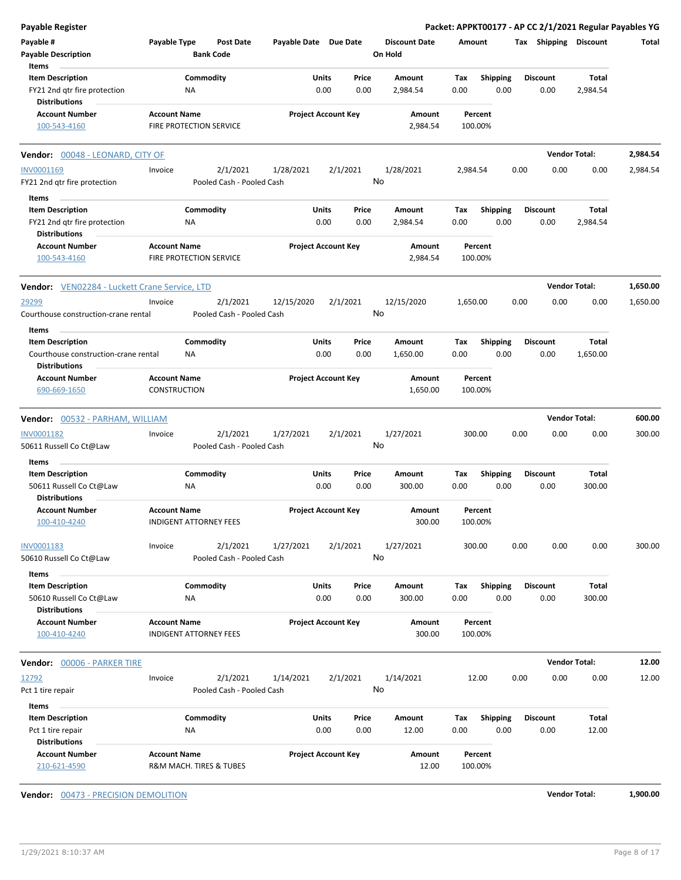| <b>Payable Register</b>                       |                                                |                            |          |                                 |                    |                 | Packet: APPKT00177 - AP CC 2/1/2021 Regular Payables YG |                      |          |
|-----------------------------------------------|------------------------------------------------|----------------------------|----------|---------------------------------|--------------------|-----------------|---------------------------------------------------------|----------------------|----------|
| Payable #<br><b>Payable Description</b>       | Payable Type<br>Post Date<br><b>Bank Code</b>  | Payable Date Due Date      |          | <b>Discount Date</b><br>On Hold | Amount             |                 | Tax Shipping Discount                                   |                      | Total    |
| Items                                         |                                                |                            |          |                                 |                    |                 |                                                         |                      |          |
| <b>Item Description</b>                       | Commodity                                      | Units                      | Price    | Amount                          | Tax                | <b>Shipping</b> | <b>Discount</b>                                         | Total                |          |
| FY21 2nd qtr fire protection                  | NA                                             | 0.00                       | 0.00     | 2,984.54                        | 0.00               | 0.00            | 0.00                                                    | 2,984.54             |          |
| <b>Distributions</b>                          |                                                |                            |          |                                 |                    |                 |                                                         |                      |          |
| <b>Account Number</b>                         | <b>Account Name</b>                            | <b>Project Account Key</b> |          | Amount                          | Percent            |                 |                                                         |                      |          |
| 100-543-4160                                  | FIRE PROTECTION SERVICE                        |                            |          | 2,984.54                        | 100.00%            |                 |                                                         |                      |          |
| Vendor: 00048 - LEONARD, CITY OF              |                                                |                            |          |                                 |                    |                 |                                                         | <b>Vendor Total:</b> | 2,984.54 |
| INV0001169                                    | 2/1/2021<br>Invoice                            | 1/28/2021                  | 2/1/2021 | 1/28/2021                       | 2,984.54           |                 | 0.00<br>0.00                                            | 0.00                 | 2,984.54 |
| FY21 2nd qtr fire protection                  | Pooled Cash - Pooled Cash                      |                            |          | No                              |                    |                 |                                                         |                      |          |
| Items                                         |                                                |                            |          |                                 |                    |                 |                                                         |                      |          |
| <b>Item Description</b>                       | Commodity                                      | <b>Units</b>               | Price    | Amount                          | Тах                | <b>Shipping</b> | <b>Discount</b>                                         | Total                |          |
| FY21 2nd qtr fire protection                  | <b>NA</b>                                      | 0.00                       | 0.00     | 2,984.54                        | 0.00               | 0.00            | 0.00                                                    | 2,984.54             |          |
| <b>Distributions</b>                          |                                                |                            |          |                                 |                    |                 |                                                         |                      |          |
| <b>Account Number</b>                         | <b>Account Name</b>                            | <b>Project Account Key</b> |          | Amount                          | Percent            |                 |                                                         |                      |          |
| 100-543-4160                                  | FIRE PROTECTION SERVICE                        |                            |          | 2,984.54                        | 100.00%            |                 |                                                         |                      |          |
| Vendor: VEN02284 - Luckett Crane Service, LTD |                                                |                            |          |                                 |                    |                 |                                                         | <b>Vendor Total:</b> | 1,650.00 |
| 29299                                         | 2/1/2021<br>Invoice                            | 12/15/2020                 | 2/1/2021 | 12/15/2020                      | 1,650.00           |                 | 0.00<br>0.00                                            | 0.00                 | 1,650.00 |
| Courthouse construction-crane rental          | Pooled Cash - Pooled Cash                      |                            | No       |                                 |                    |                 |                                                         |                      |          |
|                                               |                                                |                            |          |                                 |                    |                 |                                                         |                      |          |
| Items                                         |                                                |                            |          |                                 |                    |                 |                                                         |                      |          |
| <b>Item Description</b>                       | Commodity                                      | Units                      | Price    | Amount                          | Tax                | <b>Shipping</b> | <b>Discount</b>                                         | <b>Total</b>         |          |
| Courthouse construction-crane rental          | ΝA                                             | 0.00                       | 0.00     | 1,650.00                        | 0.00               | 0.00            | 0.00                                                    | 1,650.00             |          |
| <b>Distributions</b>                          |                                                |                            |          |                                 |                    |                 |                                                         |                      |          |
| <b>Account Number</b>                         | <b>Account Name</b>                            | <b>Project Account Key</b> |          | Amount                          | Percent            |                 |                                                         |                      |          |
| 690-669-1650                                  | <b>CONSTRUCTION</b>                            |                            |          | 1,650.00                        | 100.00%            |                 |                                                         |                      |          |
| Vendor: 00532 - PARHAM, WILLIAM               |                                                |                            |          |                                 |                    |                 |                                                         | <b>Vendor Total:</b> | 600.00   |
|                                               |                                                |                            |          |                                 |                    |                 |                                                         |                      |          |
| INV0001182                                    | 2/1/2021<br>Invoice                            | 1/27/2021                  | 2/1/2021 | 1/27/2021                       | 300.00             |                 | 0.00<br>0.00                                            | 0.00                 | 300.00   |
| 50611 Russell Co Ct@Law                       | Pooled Cash - Pooled Cash                      |                            |          | No                              |                    |                 |                                                         |                      |          |
| Items                                         |                                                |                            |          |                                 |                    |                 |                                                         |                      |          |
| <b>Item Description</b>                       | Commodity                                      | Units                      | Price    | Amount                          | Тах                | <b>Shipping</b> | <b>Discount</b>                                         | Total                |          |
| 50611 Russell Co Ct@Law                       | ΝA                                             | 0.00                       | 0.00     | 300.00                          | 0.00               | 0.00            | 0.00                                                    | 300.00               |          |
| <b>Distributions</b>                          |                                                |                            |          |                                 |                    |                 |                                                         |                      |          |
| <b>Account Number</b>                         | <b>Account Name</b>                            | <b>Project Account Key</b> |          | Amount                          | Percent            |                 |                                                         |                      |          |
| 100-410-4240                                  | INDIGENT ATTORNEY FEES                         |                            |          | 300.00                          | 100.00%            |                 |                                                         |                      |          |
|                                               |                                                |                            |          |                                 |                    |                 |                                                         |                      |          |
| INV0001183                                    | Invoice<br>2/1/2021                            | 1/27/2021                  | 2/1/2021 | 1/27/2021                       | 300.00             |                 | 0.00<br>0.00                                            | 0.00                 | 300.00   |
| 50610 Russell Co Ct@Law                       | Pooled Cash - Pooled Cash                      |                            |          | No                              |                    |                 |                                                         |                      |          |
| Items                                         |                                                |                            |          |                                 |                    |                 |                                                         |                      |          |
| <b>Item Description</b>                       | Commodity                                      | Units                      | Price    | Amount                          | Tax                | <b>Shipping</b> | <b>Discount</b>                                         | Total                |          |
| 50610 Russell Co Ct@Law                       | ΝA                                             | 0.00                       | 0.00     | 300.00                          | 0.00               | 0.00            | 0.00                                                    | 300.00               |          |
| <b>Distributions</b>                          |                                                |                            |          |                                 |                    |                 |                                                         |                      |          |
| <b>Account Number</b>                         | <b>Account Name</b>                            | <b>Project Account Key</b> |          | Amount                          | Percent            |                 |                                                         |                      |          |
| 100-410-4240                                  | <b>INDIGENT ATTORNEY FEES</b>                  |                            |          | 300.00                          | 100.00%            |                 |                                                         |                      |          |
|                                               |                                                |                            |          |                                 |                    |                 |                                                         |                      |          |
| Vendor: 00006 - PARKER TIRE                   |                                                |                            |          |                                 |                    |                 |                                                         | <b>Vendor Total:</b> | 12.00    |
| 12792                                         | 2/1/2021<br>Invoice                            | 1/14/2021                  | 2/1/2021 | 1/14/2021                       | 12.00              |                 | 0.00<br>0.00                                            | 0.00                 | 12.00    |
| Pct 1 tire repair                             | Pooled Cash - Pooled Cash                      |                            | No       |                                 |                    |                 |                                                         |                      |          |
| Items                                         |                                                |                            |          |                                 |                    |                 |                                                         |                      |          |
| <b>Item Description</b>                       | Commodity                                      | Units                      | Price    | Amount                          | Tax                | Shipping        | <b>Discount</b>                                         | Total                |          |
|                                               | NA                                             | 0.00                       | 0.00     | 12.00                           | 0.00               | 0.00            | 0.00                                                    | 12.00                |          |
| Pct 1 tire repair<br><b>Distributions</b>     |                                                |                            |          |                                 |                    |                 |                                                         |                      |          |
|                                               |                                                |                            |          |                                 |                    |                 |                                                         |                      |          |
| <b>Account Number</b><br>210-621-4590         | <b>Account Name</b><br>R&M MACH. TIRES & TUBES | <b>Project Account Key</b> |          | Amount<br>12.00                 | Percent<br>100.00% |                 |                                                         |                      |          |
|                                               |                                                |                            |          |                                 |                    |                 |                                                         |                      |          |

**Vendor:** 00473 - PRECISION DEMOLITION **Vendor Total: 1,900.00**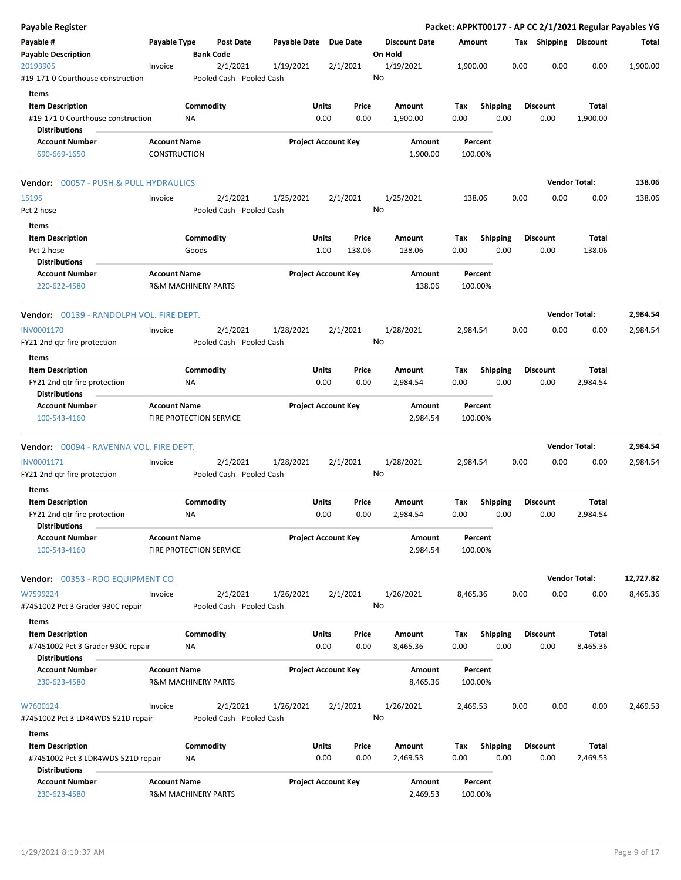| Payable Register                                                                      |                     |                                |                                       |              |                                  |                                 |                    |                    |                         |      |                         |                      | Packet: APPKT00177 - AP CC 2/1/2021 Regular Payables YG |
|---------------------------------------------------------------------------------------|---------------------|--------------------------------|---------------------------------------|--------------|----------------------------------|---------------------------------|--------------------|--------------------|-------------------------|------|-------------------------|----------------------|---------------------------------------------------------|
| Payable #<br><b>Payable Description</b>                                               | Payable Type        |                                | <b>Post Date</b><br><b>Bank Code</b>  | Payable Date | Due Date                         | <b>Discount Date</b><br>On Hold |                    | Amount             |                         |      | Tax Shipping Discount   |                      | Total                                                   |
| 20193905<br>#19-171-0 Courthouse construction                                         | Invoice             |                                | 2/1/2021<br>Pooled Cash - Pooled Cash | 1/19/2021    | 2/1/2021                         | 1/19/2021<br>No                 |                    | 1,900.00           |                         | 0.00 | 0.00                    | 0.00                 | 1,900.00                                                |
| Items                                                                                 |                     |                                |                                       |              |                                  |                                 |                    |                    |                         |      |                         |                      |                                                         |
| <b>Item Description</b><br>#19-171-0 Courthouse construction                          |                     | Commodity<br>NA                |                                       |              | Units<br>Price<br>0.00<br>0.00   | Amount<br>1,900.00              |                    | Tax<br>0.00        | <b>Shipping</b><br>0.00 |      | <b>Discount</b><br>0.00 | Total<br>1,900.00    |                                                         |
| <b>Distributions</b><br><b>Account Number</b>                                         | <b>Account Name</b> |                                |                                       |              | <b>Project Account Key</b>       |                                 | Amount             | Percent            |                         |      |                         |                      |                                                         |
| 690-669-1650                                                                          | <b>CONSTRUCTION</b> |                                |                                       |              |                                  |                                 | 1,900.00           | 100.00%            |                         |      |                         |                      |                                                         |
| <b>Vendor:</b> 00057 - PUSH & PULL HYDRAULICS                                         |                     |                                |                                       |              |                                  |                                 |                    |                    |                         |      |                         | <b>Vendor Total:</b> | 138.06                                                  |
| 15195<br>Pct 2 hose                                                                   | Invoice             |                                | 2/1/2021<br>Pooled Cash - Pooled Cash | 1/25/2021    | 2/1/2021                         | 1/25/2021<br>No                 |                    | 138.06             |                         | 0.00 | 0.00                    | 0.00                 | 138.06                                                  |
| Items                                                                                 |                     |                                |                                       |              |                                  |                                 |                    |                    |                         |      |                         |                      |                                                         |
| <b>Item Description</b><br>Pct 2 hose                                                 |                     | Commodity<br>Goods             |                                       |              | Units<br>Price<br>1.00<br>138.06 | Amount                          | 138.06             | Tax<br>0.00        | <b>Shipping</b><br>0.00 |      | <b>Discount</b><br>0.00 | Total<br>138.06      |                                                         |
| <b>Distributions</b><br><b>Account Number</b><br>220-622-4580                         | <b>Account Name</b> | <b>R&amp;M MACHINERY PARTS</b> |                                       |              | <b>Project Account Key</b>       |                                 | Amount<br>138.06   | Percent<br>100.00% |                         |      |                         |                      |                                                         |
| Vendor: 00139 - RANDOLPH VOL. FIRE DEPT.                                              |                     |                                |                                       |              |                                  |                                 |                    |                    |                         |      |                         | <b>Vendor Total:</b> | 2,984.54                                                |
| INV0001170<br>FY21 2nd gtr fire protection                                            | Invoice             |                                | 2/1/2021<br>Pooled Cash - Pooled Cash | 1/28/2021    | 2/1/2021                         | 1/28/2021<br>No                 |                    | 2,984.54           |                         | 0.00 | 0.00                    | 0.00                 | 2,984.54                                                |
| <b>Items</b>                                                                          |                     |                                |                                       |              | Units                            | Amount                          |                    |                    |                         |      |                         |                      |                                                         |
| <b>Item Description</b><br>FY21 2nd qtr fire protection<br><b>Distributions</b>       |                     | Commodity<br>ΝA                |                                       |              | Price<br>0.00<br>0.00            | 2,984.54                        |                    | Tax<br>0.00        | <b>Shipping</b><br>0.00 |      | <b>Discount</b><br>0.00 | Total<br>2,984.54    |                                                         |
| <b>Account Number</b><br>100-543-4160                                                 | <b>Account Name</b> | FIRE PROTECTION SERVICE        |                                       |              | <b>Project Account Key</b>       |                                 | Amount<br>2,984.54 | Percent<br>100.00% |                         |      |                         |                      |                                                         |
| <b>Vendor:</b> 00094 - RAVENNA VOL. FIRE DEPT.                                        |                     |                                |                                       |              |                                  |                                 |                    |                    |                         |      |                         | <b>Vendor Total:</b> | 2,984.54                                                |
| INV0001171<br>FY21 2nd qtr fire protection                                            | Invoice             |                                | 2/1/2021<br>Pooled Cash - Pooled Cash | 1/28/2021    | 2/1/2021                         | 1/28/2021<br>No                 |                    | 2,984.54           |                         | 0.00 | 0.00                    | 0.00                 | 2,984.54                                                |
| Items                                                                                 |                     |                                |                                       |              |                                  |                                 |                    |                    |                         |      |                         |                      |                                                         |
| <b>Item Description</b><br>FY21 2nd qtr fire protection<br><b>Distributions</b>       |                     | Commodity<br>ΝA                |                                       |              | Units<br>Price<br>0.00<br>0.00   | Amount<br>2,984.54              |                    | Tax<br>0.00        | <b>Shipping</b><br>0.00 |      | <b>Discount</b><br>0.00 | Total<br>2,984.54    |                                                         |
| <b>Account Number</b><br>100-543-4160                                                 | <b>Account Name</b> | FIRE PROTECTION SERVICE        |                                       |              | <b>Project Account Key</b>       |                                 | Amount<br>2,984.54 | Percent<br>100.00% |                         |      |                         |                      |                                                         |
| Vendor: 00353 - RDO EQUIPMENT CO                                                      |                     |                                |                                       |              |                                  |                                 |                    |                    |                         |      |                         | <b>Vendor Total:</b> | 12,727.82                                               |
| W7599224<br>#7451002 Pct 3 Grader 930C repair                                         | Invoice             |                                | 2/1/2021<br>Pooled Cash - Pooled Cash | 1/26/2021    | 2/1/2021                         | 1/26/2021<br>No                 |                    | 8,465.36           |                         | 0.00 | 0.00                    | 0.00                 | 8,465.36                                                |
| Items<br><b>Item Description</b>                                                      |                     | Commodity                      |                                       |              | Units<br>Price                   | Amount                          |                    |                    |                         |      | <b>Discount</b>         | Total                |                                                         |
| #7451002 Pct 3 Grader 930C repair<br><b>Distributions</b>                             |                     | ΝA                             |                                       |              | 0.00<br>0.00                     | 8,465.36                        |                    | Tax<br>0.00        | Shipping<br>0.00        |      | 0.00                    | 8,465.36             |                                                         |
| <b>Account Number</b><br>230-623-4580                                                 | <b>Account Name</b> | <b>R&amp;M MACHINERY PARTS</b> |                                       |              | <b>Project Account Key</b>       |                                 | Amount<br>8,465.36 | Percent<br>100.00% |                         |      |                         |                      |                                                         |
| W7600124<br>#7451002 Pct 3 LDR4WDS 521D repair                                        | Invoice             |                                | 2/1/2021<br>Pooled Cash - Pooled Cash | 1/26/2021    | 2/1/2021                         | 1/26/2021<br>No                 |                    | 2,469.53           |                         | 0.00 | 0.00                    | 0.00                 | 2,469.53                                                |
| Items                                                                                 |                     |                                |                                       |              |                                  |                                 |                    |                    |                         |      |                         |                      |                                                         |
| <b>Item Description</b><br>#7451002 Pct 3 LDR4WDS 521D repair<br><b>Distributions</b> |                     | Commodity<br>ΝA                |                                       |              | Units<br>Price<br>0.00<br>0.00   | Amount<br>2,469.53              |                    | Тах<br>0.00        | <b>Shipping</b><br>0.00 |      | <b>Discount</b><br>0.00 | Total<br>2,469.53    |                                                         |
| <b>Account Number</b><br>230-623-4580                                                 | <b>Account Name</b> | <b>R&amp;M MACHINERY PARTS</b> |                                       |              | <b>Project Account Key</b>       |                                 | Amount<br>2,469.53 | Percent<br>100.00% |                         |      |                         |                      |                                                         |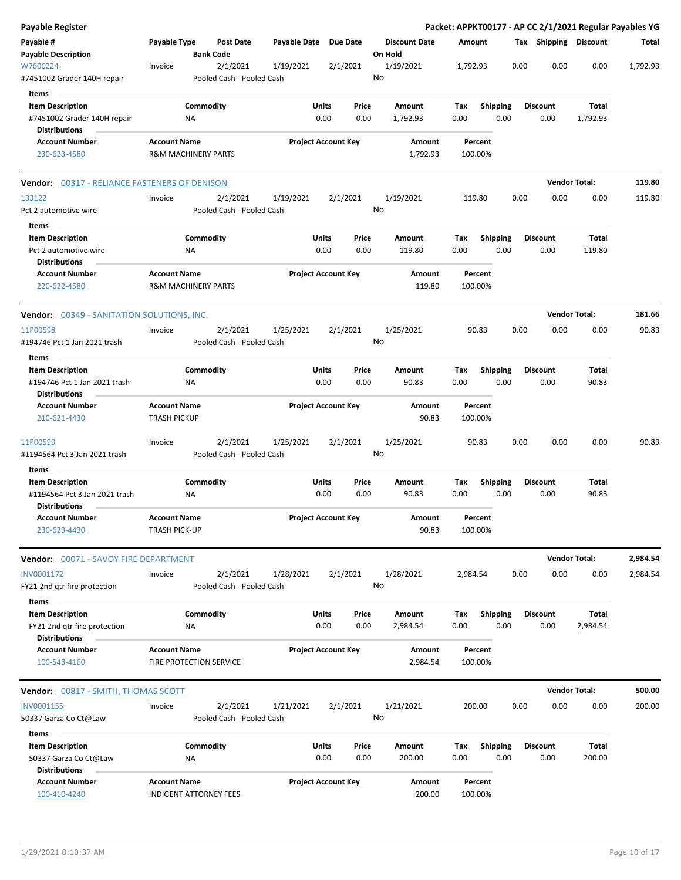| Payable Register                                                               |                                                       |                  |                                       |              |                            |               |                                 |             |                    |      |      |                         |                      | Packet: APPKT00177 - AP CC 2/1/2021 Regular Payables YG |
|--------------------------------------------------------------------------------|-------------------------------------------------------|------------------|---------------------------------------|--------------|----------------------------|---------------|---------------------------------|-------------|--------------------|------|------|-------------------------|----------------------|---------------------------------------------------------|
| Payable #<br><b>Payable Description</b>                                        | Payable Type                                          | <b>Bank Code</b> | <b>Post Date</b>                      | Payable Date | Due Date                   |               | <b>Discount Date</b><br>On Hold | Amount      |                    |      |      | Tax Shipping Discount   |                      | Total                                                   |
| W7600224<br>#7451002 Grader 140H repair                                        | Invoice                                               |                  | 2/1/2021<br>Pooled Cash - Pooled Cash | 1/19/2021    | 2/1/2021                   |               | 1/19/2021<br>No                 | 1,792.93    |                    |      | 0.00 | 0.00                    | 0.00                 | 1,792.93                                                |
| Items                                                                          |                                                       |                  |                                       |              |                            |               |                                 |             |                    |      |      |                         |                      |                                                         |
| <b>Item Description</b><br>#7451002 Grader 140H repair<br><b>Distributions</b> |                                                       | Commodity<br>ΝA  |                                       |              | Units<br>0.00              | Price<br>0.00 | Amount<br>1,792.93              | Тах<br>0.00 | Shipping           | 0.00 |      | <b>Discount</b><br>0.00 | Total<br>1,792.93    |                                                         |
| <b>Account Number</b>                                                          | <b>Account Name</b>                                   |                  |                                       |              | <b>Project Account Key</b> |               | Amount                          |             | Percent            |      |      |                         |                      |                                                         |
| 230-623-4580                                                                   | <b>R&amp;M MACHINERY PARTS</b>                        |                  |                                       |              |                            |               | 1,792.93                        |             | 100.00%            |      |      |                         |                      |                                                         |
| <b>Vendor:</b> 00317 - RELIANCE FASTENERS OF DENISON                           |                                                       |                  |                                       |              |                            |               |                                 |             |                    |      |      |                         | <b>Vendor Total:</b> | 119.80                                                  |
| 133122                                                                         | Invoice                                               |                  | 2/1/2021                              | 1/19/2021    | 2/1/2021                   |               | 1/19/2021                       | 119.80      |                    |      | 0.00 | 0.00                    | 0.00                 | 119.80                                                  |
| Pct 2 automotive wire<br>Items                                                 |                                                       |                  | Pooled Cash - Pooled Cash             |              |                            |               | No                              |             |                    |      |      |                         |                      |                                                         |
| <b>Item Description</b>                                                        |                                                       | Commodity        |                                       |              | Units                      | Price         | Amount                          | Tax         | <b>Shipping</b>    |      |      | <b>Discount</b>         | Total                |                                                         |
| Pct 2 automotive wire                                                          |                                                       | ΝA               |                                       |              | 0.00                       | 0.00          | 119.80                          | 0.00        |                    | 0.00 |      | 0.00                    | 119.80               |                                                         |
| <b>Distributions</b><br><b>Account Number</b>                                  |                                                       |                  |                                       |              |                            |               |                                 |             |                    |      |      |                         |                      |                                                         |
| 220-622-4580                                                                   | <b>Account Name</b><br><b>R&amp;M MACHINERY PARTS</b> |                  |                                       |              | <b>Project Account Key</b> |               | Amount<br>119.80                |             | Percent<br>100.00% |      |      |                         |                      |                                                         |
| <b>Vendor:</b> 00349 - SANITATION SOLUTIONS, INC.                              |                                                       |                  |                                       |              |                            |               |                                 |             |                    |      |      |                         | <b>Vendor Total:</b> | 181.66                                                  |
| 11P00598                                                                       | Invoice                                               |                  | 2/1/2021                              | 1/25/2021    | 2/1/2021                   |               | 1/25/2021                       |             | 90.83              |      | 0.00 | 0.00                    | 0.00                 | 90.83                                                   |
| #194746 Pct 1 Jan 2021 trash                                                   |                                                       |                  | Pooled Cash - Pooled Cash             |              |                            |               | No                              |             |                    |      |      |                         |                      |                                                         |
| Items                                                                          |                                                       |                  |                                       |              |                            |               |                                 |             |                    |      |      |                         |                      |                                                         |
| <b>Item Description</b>                                                        |                                                       | Commodity        |                                       |              | Units                      | Price         | Amount                          | Tax         | <b>Shipping</b>    |      |      | <b>Discount</b>         | Total                |                                                         |
| #194746 Pct 1 Jan 2021 trash                                                   |                                                       | ΝA               |                                       |              | 0.00                       | 0.00          | 90.83                           | 0.00        |                    | 0.00 |      | 0.00                    | 90.83                |                                                         |
| <b>Distributions</b><br><b>Account Number</b>                                  | <b>Account Name</b>                                   |                  |                                       |              | <b>Project Account Key</b> |               | Amount                          |             | Percent            |      |      |                         |                      |                                                         |
| 210-621-4430                                                                   | <b>TRASH PICKUP</b>                                   |                  |                                       |              |                            |               | 90.83                           |             | 100.00%            |      |      |                         |                      |                                                         |
| 11P00599<br>#1194564 Pct 3 Jan 2021 trash                                      | Invoice                                               |                  | 2/1/2021<br>Pooled Cash - Pooled Cash | 1/25/2021    | 2/1/2021                   |               | 1/25/2021<br>No                 |             | 90.83              |      | 0.00 | 0.00                    | 0.00                 | 90.83                                                   |
|                                                                                |                                                       |                  |                                       |              |                            |               |                                 |             |                    |      |      |                         |                      |                                                         |
| Items<br><b>Item Description</b>                                               |                                                       | Commodity        |                                       |              | Units                      | Price         | Amount                          | Tax         | <b>Shipping</b>    |      |      | <b>Discount</b>         | Total                |                                                         |
| #1194564 Pct 3 Jan 2021 trash<br><b>Distributions</b>                          |                                                       | ΝA               |                                       |              | 0.00                       | 0.00          | 90.83                           | 0.00        |                    | 0.00 |      | 0.00                    | 90.83                |                                                         |
| <b>Account Number</b>                                                          | <b>Account Name</b>                                   |                  |                                       |              | <b>Project Account Key</b> |               | Amount                          |             | Percent            |      |      |                         |                      |                                                         |
| 230-623-4430                                                                   | <b>TRASH PICK-UP</b>                                  |                  |                                       |              |                            |               | 90.83                           |             | 100.00%            |      |      |                         |                      |                                                         |
| Vendor: 00071 - SAVOY FIRE DEPARTMENT                                          |                                                       |                  |                                       |              |                            |               |                                 |             |                    |      |      |                         | <b>Vendor Total:</b> | 2,984.54                                                |
| INV0001172                                                                     | Invoice                                               |                  | 2/1/2021                              | 1/28/2021    | 2/1/2021                   |               | 1/28/2021                       | 2,984.54    |                    |      | 0.00 | 0.00                    | 0.00                 | 2,984.54                                                |
| FY21 2nd qtr fire protection                                                   |                                                       |                  | Pooled Cash - Pooled Cash             |              |                            |               | No                              |             |                    |      |      |                         |                      |                                                         |
| Items                                                                          |                                                       |                  |                                       |              |                            |               | Amount                          |             |                    |      |      |                         |                      |                                                         |
| <b>Item Description</b><br>FY21 2nd qtr fire protection                        |                                                       | Commodity<br>ΝA  |                                       |              | Units<br>0.00              | Price<br>0.00 | 2,984.54                        | Tax<br>0.00 | <b>Shipping</b>    | 0.00 |      | <b>Discount</b><br>0.00 | Total<br>2,984.54    |                                                         |
| <b>Distributions</b>                                                           |                                                       |                  |                                       |              |                            |               |                                 |             |                    |      |      |                         |                      |                                                         |
| <b>Account Number</b>                                                          | <b>Account Name</b>                                   |                  |                                       |              | <b>Project Account Key</b> |               | Amount                          |             | Percent            |      |      |                         |                      |                                                         |
| 100-543-4160                                                                   | FIRE PROTECTION SERVICE                               |                  |                                       |              |                            |               | 2,984.54                        |             | 100.00%            |      |      |                         |                      |                                                         |
| <b>Vendor:</b> 00817 - SMITH, THOMAS SCOTT                                     |                                                       |                  |                                       |              |                            |               |                                 |             |                    |      |      |                         | <b>Vendor Total:</b> | 500.00                                                  |
| INV0001155                                                                     | Invoice                                               |                  | 2/1/2021                              | 1/21/2021    | 2/1/2021                   |               | 1/21/2021                       |             | 200.00             |      | 0.00 | 0.00                    | 0.00                 | 200.00                                                  |
| 50337 Garza Co Ct@Law<br>Items                                                 |                                                       |                  | Pooled Cash - Pooled Cash             |              |                            |               | No                              |             |                    |      |      |                         |                      |                                                         |
| <b>Item Description</b>                                                        |                                                       | Commodity        |                                       |              | Units                      | Price         | Amount                          | Tax         | <b>Shipping</b>    |      |      | <b>Discount</b>         | Total                |                                                         |
| 50337 Garza Co Ct@Law                                                          |                                                       | ΝA               |                                       |              | 0.00                       | 0.00          | 200.00                          | 0.00        |                    | 0.00 |      | 0.00                    | 200.00               |                                                         |
| <b>Distributions</b>                                                           |                                                       |                  |                                       |              |                            |               |                                 |             |                    |      |      |                         |                      |                                                         |
| <b>Account Number</b>                                                          | <b>Account Name</b>                                   |                  |                                       |              | <b>Project Account Key</b> |               | Amount                          |             | Percent            |      |      |                         |                      |                                                         |
| 100-410-4240                                                                   | <b>INDIGENT ATTORNEY FEES</b>                         |                  |                                       |              |                            |               | 200.00                          |             | 100.00%            |      |      |                         |                      |                                                         |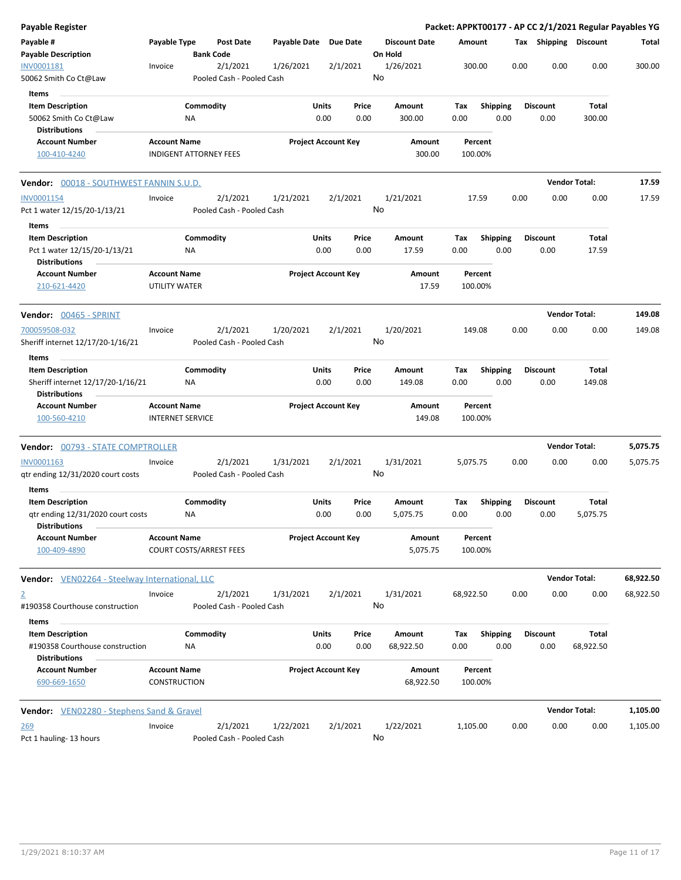| Payable Register                                                                                     |                                                |                        |                                       |                       |                            |               |                                 |                    |                         |      |                         |                      | Packet: APPKT00177 - AP CC 2/1/2021 Regular Payables YG |
|------------------------------------------------------------------------------------------------------|------------------------------------------------|------------------------|---------------------------------------|-----------------------|----------------------------|---------------|---------------------------------|--------------------|-------------------------|------|-------------------------|----------------------|---------------------------------------------------------|
| Payable #<br><b>Payable Description</b>                                                              | Payable Type                                   |                        | <b>Post Date</b><br><b>Bank Code</b>  | Payable Date Due Date |                            |               | <b>Discount Date</b><br>On Hold | Amount             |                         |      | Tax Shipping Discount   |                      | Total                                                   |
| INV0001181<br>50062 Smith Co Ct@Law                                                                  | Invoice                                        |                        | 2/1/2021<br>Pooled Cash - Pooled Cash | 1/26/2021             |                            | 2/1/2021      | 1/26/2021<br>No                 | 300.00             |                         | 0.00 | 0.00                    | 0.00                 | 300.00                                                  |
| Items                                                                                                |                                                |                        |                                       |                       |                            |               |                                 |                    |                         |      |                         |                      |                                                         |
| <b>Item Description</b><br>50062 Smith Co Ct@Law<br><b>Distributions</b>                             |                                                | Commodity<br>ΝA        |                                       |                       | Units<br>0.00              | Price<br>0.00 | Amount<br>300.00                | Tax<br>0.00        | <b>Shipping</b><br>0.00 |      | <b>Discount</b><br>0.00 | Total<br>300.00      |                                                         |
| <b>Account Number</b><br>100-410-4240                                                                | <b>Account Name</b>                            |                        | <b>INDIGENT ATTORNEY FEES</b>         |                       | <b>Project Account Key</b> |               | Amount<br>300.00                | Percent<br>100.00% |                         |      |                         |                      |                                                         |
| Vendor: 00018 - SOUTHWEST FANNIN S.U.D.                                                              |                                                |                        |                                       |                       |                            |               |                                 |                    |                         |      |                         | <b>Vendor Total:</b> | 17.59                                                   |
| INV0001154                                                                                           | Invoice                                        |                        | 2/1/2021                              | 1/21/2021             |                            | 2/1/2021      | 1/21/2021                       | 17.59              |                         | 0.00 | 0.00                    | 0.00                 | 17.59                                                   |
| Pct 1 water 12/15/20-1/13/21<br>Items                                                                |                                                |                        | Pooled Cash - Pooled Cash             |                       |                            |               | No                              |                    |                         |      |                         |                      |                                                         |
| <b>Item Description</b><br>Pct 1 water 12/15/20-1/13/21<br><b>Distributions</b>                      |                                                | Commodity<br>ΝA        |                                       |                       | Units<br>0.00              | Price<br>0.00 | Amount<br>17.59                 | Tax<br>0.00        | <b>Shipping</b><br>0.00 |      | <b>Discount</b><br>0.00 | Total<br>17.59       |                                                         |
| <b>Account Number</b><br>210-621-4420                                                                | <b>Account Name</b><br>UTILITY WATER           |                        |                                       |                       | <b>Project Account Key</b> |               | Amount<br>17.59                 | Percent<br>100.00% |                         |      |                         |                      |                                                         |
| <b>Vendor:</b> 00465 - SPRINT                                                                        |                                                |                        |                                       |                       |                            |               |                                 |                    |                         |      |                         | <b>Vendor Total:</b> | 149.08                                                  |
| 700059508-032<br>Sheriff internet 12/17/20-1/16/21                                                   | Invoice                                        |                        | 2/1/2021<br>Pooled Cash - Pooled Cash | 1/20/2021             |                            | 2/1/2021      | 1/20/2021<br>No                 | 149.08             |                         | 0.00 | 0.00                    | 0.00                 | 149.08                                                  |
| <b>Items</b><br><b>Item Description</b><br>Sheriff internet 12/17/20-1/16/21<br><b>Distributions</b> |                                                | Commodity<br><b>NA</b> |                                       |                       | Units<br>0.00              | Price<br>0.00 | Amount<br>149.08                | Tax<br>0.00        | <b>Shipping</b><br>0.00 |      | <b>Discount</b><br>0.00 | Total<br>149.08      |                                                         |
| <b>Account Number</b><br>100-560-4210                                                                | <b>Account Name</b><br><b>INTERNET SERVICE</b> |                        |                                       |                       | <b>Project Account Key</b> |               | Amount<br>149.08                | Percent<br>100.00% |                         |      |                         |                      |                                                         |
| <b>Vendor:</b> 00793 - STATE COMPTROLLER                                                             |                                                |                        |                                       |                       |                            |               |                                 |                    |                         |      |                         | <b>Vendor Total:</b> | 5,075.75                                                |
| INV0001163<br>qtr ending 12/31/2020 court costs                                                      | Invoice                                        |                        | 2/1/2021<br>Pooled Cash - Pooled Cash | 1/31/2021             |                            | 2/1/2021      | 1/31/2021<br>No                 | 5,075.75           |                         | 0.00 | 0.00                    | 0.00                 | 5,075.75                                                |
| Items<br><b>Item Description</b>                                                                     |                                                | Commodity              |                                       |                       | Units                      | Price         | Amount                          | Tax                | <b>Shipping</b>         |      | <b>Discount</b>         | Total                |                                                         |
| qtr ending 12/31/2020 court costs<br><b>Distributions</b>                                            |                                                | ΝA                     |                                       |                       | 0.00                       | 0.00          | 5,075.75                        | 0.00               | 0.00                    |      | 0.00                    | 5,075.75             |                                                         |
| <b>Account Number</b><br>100-409-4890                                                                | <b>Account Name</b>                            |                        | <b>COURT COSTS/ARREST FEES</b>        |                       | <b>Project Account Key</b> |               | Amount<br>5,075.75              | Percent<br>100.00% |                         |      |                         |                      |                                                         |
| <b>Vendor:</b> VEN02264 - Steelway International, LLC                                                |                                                |                        |                                       |                       |                            |               |                                 |                    |                         |      |                         | <b>Vendor Total:</b> | 68,922.50                                               |
| 2<br>#190358 Courthouse construction                                                                 | Invoice                                        |                        | 2/1/2021<br>Pooled Cash - Pooled Cash | 1/31/2021             |                            | 2/1/2021      | 1/31/2021<br>No                 | 68,922.50          |                         | 0.00 | 0.00                    | 0.00                 | 68,922.50                                               |
| Items<br><b>Item Description</b><br>#190358 Courthouse construction                                  |                                                | Commodity<br>ΝA        |                                       |                       | Units<br>0.00              | Price<br>0.00 | Amount<br>68,922.50             | Tax<br>0.00        | <b>Shipping</b><br>0.00 |      | <b>Discount</b><br>0.00 | Total<br>68,922.50   |                                                         |
| Distributions<br><b>Account Number</b><br>690-669-1650                                               | <b>Account Name</b><br>CONSTRUCTION            |                        |                                       |                       | <b>Project Account Key</b> |               | Amount<br>68,922.50             | Percent<br>100.00% |                         |      |                         |                      |                                                         |
| <b>Vendor:</b> VEN02280 - Stephens Sand & Gravel                                                     |                                                |                        |                                       |                       |                            |               |                                 |                    |                         |      |                         | <b>Vendor Total:</b> | 1,105.00                                                |
| <u> 269</u><br>Pct 1 hauling- 13 hours                                                               | Invoice                                        |                        | 2/1/2021<br>Pooled Cash - Pooled Cash | 1/22/2021             |                            | 2/1/2021      | 1/22/2021<br>No                 | 1,105.00           |                         | 0.00 | 0.00                    | 0.00                 | 1,105.00                                                |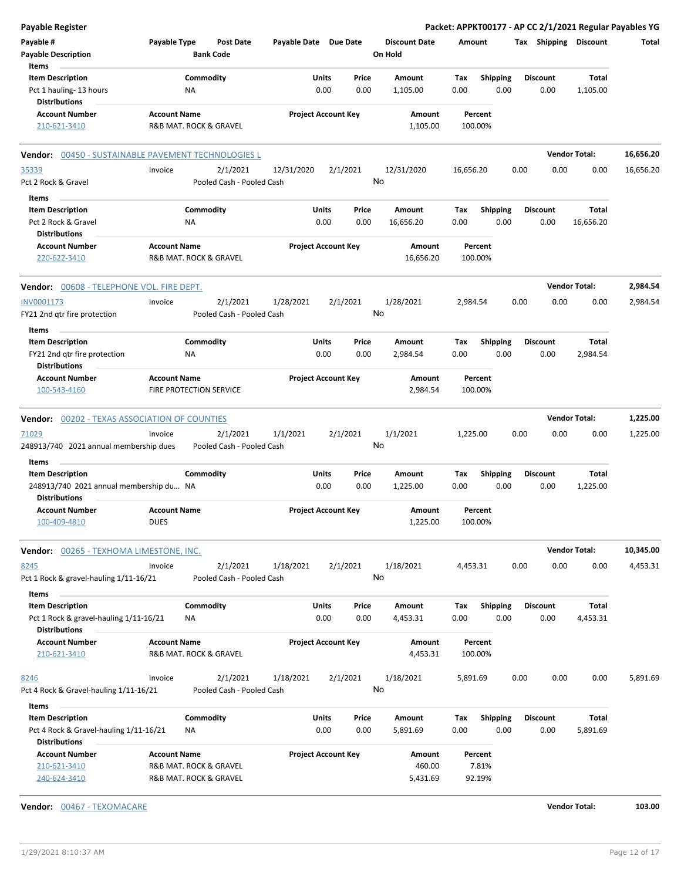| Payable Register                                                                                   |                                    |                                                  |                       |                                       |                                 | Packet: APPKT00177 - AP CC 2/1/2021 Regular Payables YG |                         |                          |           |
|----------------------------------------------------------------------------------------------------|------------------------------------|--------------------------------------------------|-----------------------|---------------------------------------|---------------------------------|---------------------------------------------------------|-------------------------|--------------------------|-----------|
| Payable #<br><b>Payable Description</b>                                                            | Payable Type                       | <b>Post Date</b><br><b>Bank Code</b>             | Payable Date Due Date |                                       | <b>Discount Date</b><br>On Hold | Amount                                                  | Tax Shipping Discount   |                          | Total     |
| Items<br><b>Item Description</b>                                                                   |                                    | Commodity                                        | Units                 | Price                                 | Amount                          | <b>Shipping</b><br>Tax                                  | <b>Discount</b>         | Total                    |           |
| Pct 1 hauling-13 hours<br><b>Distributions</b>                                                     |                                    | ΝA                                               |                       | 0.00<br>0.00                          | 1,105.00                        | 0.00<br>0.00                                            | 0.00                    | 1,105.00                 |           |
| <b>Account Number</b><br>210-621-3410                                                              | <b>Account Name</b>                | R&B MAT. ROCK & GRAVEL                           |                       | <b>Project Account Key</b>            | Amount<br>1,105.00              | Percent<br>100.00%                                      |                         |                          |           |
| 00450 - SUSTAINABLE PAVEMENT TECHNOLOGIES L<br>Vendor:                                             |                                    |                                                  |                       |                                       |                                 |                                                         |                         | <b>Vendor Total:</b>     | 16,656.20 |
| 35339                                                                                              | Invoice                            | 2/1/2021                                         | 12/31/2020            | 2/1/2021                              | 12/31/2020                      | 16,656.20                                               | 0.00<br>0.00            | 0.00                     | 16,656.20 |
| Pct 2 Rock & Gravel                                                                                |                                    | Pooled Cash - Pooled Cash                        |                       |                                       | No                              |                                                         |                         |                          |           |
| Items                                                                                              |                                    |                                                  |                       |                                       |                                 |                                                         |                         |                          |           |
| <b>Item Description</b>                                                                            |                                    | Commodity                                        | Units                 | Price                                 | Amount                          | Tax<br><b>Shipping</b>                                  | <b>Discount</b>         | <b>Total</b>             |           |
| Pct 2 Rock & Gravel<br><b>Distributions</b>                                                        |                                    | ΝA                                               |                       | 0.00<br>0.00                          | 16,656.20                       | 0.00<br>0.00                                            | 0.00                    | 16,656.20                |           |
| <b>Account Number</b><br>220-622-3410                                                              | <b>Account Name</b>                | <b>R&amp;B MAT. ROCK &amp; GRAVEL</b>            |                       | <b>Project Account Key</b>            | <b>Amount</b><br>16,656.20      | Percent<br>100.00%                                      |                         |                          |           |
| <b>Vendor:</b> 00608 - TELEPHONE VOL. FIRE DEPT.                                                   |                                    |                                                  |                       |                                       |                                 |                                                         |                         | <b>Vendor Total:</b>     | 2,984.54  |
| INV0001173<br>FY21 2nd qtr fire protection                                                         | Invoice                            | 2/1/2021<br>Pooled Cash - Pooled Cash            | 1/28/2021             | 2/1/2021                              | 1/28/2021<br>No                 | 2,984.54                                                | 0.00<br>0.00            | 0.00                     | 2,984.54  |
|                                                                                                    |                                    |                                                  |                       |                                       |                                 |                                                         |                         |                          |           |
| Items<br><b>Item Description</b><br>FY21 2nd qtr fire protection                                   |                                    | Commodity<br>ΝA                                  | Units                 | Price<br>0.00<br>0.00                 | Amount<br>2,984.54              | Shipping<br>Tax<br>0.00<br>0.00                         | <b>Discount</b><br>0.00 | Total<br>2,984.54        |           |
| <b>Distributions</b><br><b>Account Number</b><br>100-543-4160                                      | <b>Account Name</b>                | <b>FIRE PROTECTION SERVICE</b>                   |                       | <b>Project Account Key</b>            | Amount<br>2,984.54              | Percent<br>100.00%                                      |                         |                          |           |
| <b>Vendor: 00202 - TEXAS ASSOCIATION OF COUNTIES</b>                                               |                                    |                                                  |                       |                                       |                                 |                                                         |                         | <b>Vendor Total:</b>     | 1,225.00  |
|                                                                                                    |                                    |                                                  |                       |                                       |                                 |                                                         |                         |                          |           |
| 71029<br>248913/740 2021 annual membership dues                                                    | Invoice                            | 2/1/2021<br>Pooled Cash - Pooled Cash            | 1/1/2021              | 2/1/2021                              | 1/1/2021<br>No                  | 1,225.00                                                | 0.00<br>0.00            | 0.00                     | 1,225.00  |
| Items                                                                                              |                                    |                                                  |                       |                                       |                                 |                                                         |                         |                          |           |
| <b>Item Description</b><br>248913/740 2021 annual membership du NA<br><b>Distributions</b>         |                                    | Commodity                                        | Units                 | Price<br>0.00<br>0.00                 | Amount<br>1,225.00              | Tax<br><b>Shipping</b><br>0.00<br>0.00                  | <b>Discount</b><br>0.00 | <b>Total</b><br>1,225.00 |           |
| <b>Account Number</b><br>100-409-4810                                                              | <b>Account Name</b><br><b>DUES</b> |                                                  |                       | <b>Project Account Key</b>            | Amount<br>1,225.00              | Percent<br>100.00%                                      |                         |                          |           |
| Vendor: 00265 - TEXHOMA LIMESTONE, INC.                                                            |                                    |                                                  |                       |                                       |                                 |                                                         |                         | <b>Vendor Total:</b>     | 10,345.00 |
| 8245<br>Pct 1 Rock & gravel-hauling 1/11-16/21                                                     | Invoice                            | 2/1/2021<br>Pooled Cash - Pooled Cash            | 1/18/2021             | 2/1/2021                              | 1/18/2021<br>No                 | 4,453.31                                                | 0.00<br>0.00            | 0.00                     | 4,453.31  |
| Items<br><b>Item Description</b><br>Pct 1 Rock & gravel-hauling 1/11-16/21<br><b>Distributions</b> |                                    | Commodity<br>NA                                  |                       | <b>Units</b><br>Price<br>0.00<br>0.00 | Amount<br>4,453.31              | Tax<br><b>Shipping</b><br>0.00<br>0.00                  | <b>Discount</b><br>0.00 | Total<br>4,453.31        |           |
| <b>Account Number</b><br>210-621-3410                                                              | <b>Account Name</b>                | R&B MAT. ROCK & GRAVEL                           |                       | <b>Project Account Key</b>            | Amount<br>4,453.31              | Percent<br>100.00%                                      |                         |                          |           |
| 8246<br>Pct 4 Rock & Gravel-hauling 1/11-16/21                                                     | Invoice                            | 2/1/2021<br>Pooled Cash - Pooled Cash            | 1/18/2021             | 2/1/2021                              | 1/18/2021<br>No                 | 5,891.69                                                | 0.00<br>0.00            | 0.00                     | 5,891.69  |
| Items<br><b>Item Description</b><br>Pct 4 Rock & Gravel-hauling 1/11-16/21<br><b>Distributions</b> |                                    | Commodity<br>ΝA                                  | <b>Units</b>          | Price<br>0.00<br>0.00                 | Amount<br>5,891.69              | <b>Shipping</b><br>Tax<br>0.00<br>0.00                  | <b>Discount</b><br>0.00 | <b>Total</b><br>5,891.69 |           |
| <b>Account Number</b><br>210-621-3410<br>240-624-3410                                              | <b>Account Name</b>                | R&B MAT. ROCK & GRAVEL<br>R&B MAT. ROCK & GRAVEL |                       | <b>Project Account Key</b>            | Amount<br>460.00<br>5,431.69    | Percent<br>7.81%<br>92.19%                              |                         |                          |           |

**Vendor:** 00467 - TEXOMACARE **Vendor Total: 103.00**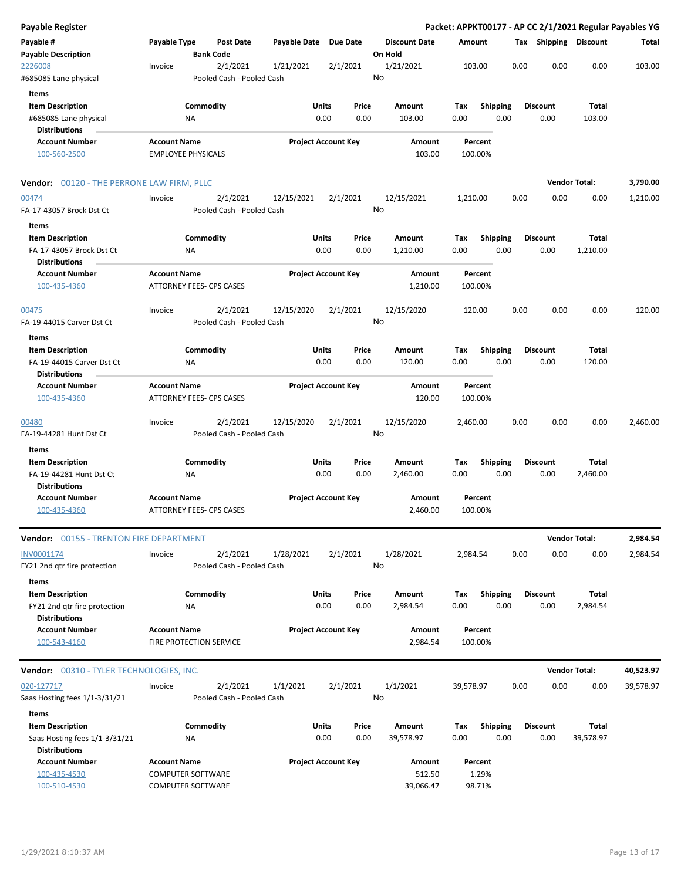| <b>Payable Register</b>                              |                                                        |                  |                           |                       |                            |               |                      |             |                         |      |                         |                      | Packet: APPKT00177 - AP CC 2/1/2021 Regular Payables YG |
|------------------------------------------------------|--------------------------------------------------------|------------------|---------------------------|-----------------------|----------------------------|---------------|----------------------|-------------|-------------------------|------|-------------------------|----------------------|---------------------------------------------------------|
| Payable #                                            | Payable Type                                           |                  | <b>Post Date</b>          | Payable Date Due Date |                            |               | <b>Discount Date</b> | Amount      |                         |      | Tax Shipping Discount   |                      | Total                                                   |
| <b>Payable Description</b>                           |                                                        | <b>Bank Code</b> |                           |                       |                            |               | On Hold              |             |                         |      |                         |                      |                                                         |
| 2226008                                              | Invoice                                                |                  | 2/1/2021                  | 1/21/2021             | 2/1/2021                   |               | 1/21/2021            |             | 103.00                  | 0.00 | 0.00                    | 0.00                 | 103.00                                                  |
| #685085 Lane physical                                |                                                        |                  | Pooled Cash - Pooled Cash |                       |                            |               | No                   |             |                         |      |                         |                      |                                                         |
| Items                                                |                                                        |                  |                           |                       |                            |               |                      |             |                         |      |                         |                      |                                                         |
| <b>Item Description</b>                              |                                                        | Commodity        |                           |                       | Units                      | Price         | Amount               | Tax         | <b>Shipping</b>         |      | <b>Discount</b>         | Total                |                                                         |
| #685085 Lane physical                                |                                                        | ΝA               |                           |                       | 0.00                       | 0.00          | 103.00               | 0.00        | 0.00                    |      | 0.00                    | 103.00               |                                                         |
| <b>Distributions</b>                                 |                                                        |                  |                           |                       |                            |               |                      |             |                         |      |                         |                      |                                                         |
| <b>Account Number</b>                                | <b>Account Name</b>                                    |                  |                           |                       | <b>Project Account Key</b> |               | Amount               |             | Percent                 |      |                         |                      |                                                         |
| 100-560-2500                                         | <b>EMPLOYEE PHYSICALS</b>                              |                  |                           |                       |                            |               | 103.00               |             | 100.00%                 |      |                         |                      |                                                         |
| <b>Vendor: 00120 - THE PERRONE LAW FIRM, PLLC</b>    |                                                        |                  |                           |                       |                            |               |                      |             |                         |      |                         | <b>Vendor Total:</b> | 3,790.00                                                |
| 00474                                                | Invoice                                                |                  | 2/1/2021                  | 12/15/2021            | 2/1/2021                   |               | 12/15/2021           | 1,210.00    |                         | 0.00 | 0.00                    | 0.00                 | 1,210.00                                                |
| FA-17-43057 Brock Dst Ct                             |                                                        |                  | Pooled Cash - Pooled Cash |                       |                            |               | No                   |             |                         |      |                         |                      |                                                         |
| Items                                                |                                                        |                  |                           |                       |                            |               |                      |             |                         |      |                         |                      |                                                         |
| <b>Item Description</b><br>FA-17-43057 Brock Dst Ct  |                                                        | Commodity<br>NA  |                           |                       | Units<br>0.00              | Price<br>0.00 | Amount<br>1,210.00   | Tax<br>0.00 | <b>Shipping</b><br>0.00 |      | <b>Discount</b><br>0.00 | Total<br>1,210.00    |                                                         |
| <b>Distributions</b>                                 |                                                        |                  |                           |                       |                            |               |                      |             |                         |      |                         |                      |                                                         |
| <b>Account Number</b><br>100-435-4360                | <b>Account Name</b><br><b>ATTORNEY FEES- CPS CASES</b> |                  |                           |                       | <b>Project Account Key</b> |               | Amount<br>1,210.00   |             | Percent<br>100.00%      |      |                         |                      |                                                         |
| 00475                                                | Invoice                                                |                  | 2/1/2021                  | 12/15/2020            | 2/1/2021                   |               | 12/15/2020           |             | 120.00                  | 0.00 | 0.00                    | 0.00                 | 120.00                                                  |
| FA-19-44015 Carver Dst Ct                            |                                                        |                  | Pooled Cash - Pooled Cash |                       |                            |               | No                   |             |                         |      |                         |                      |                                                         |
| Items                                                |                                                        |                  |                           |                       |                            |               |                      |             |                         |      |                         |                      |                                                         |
| <b>Item Description</b>                              |                                                        | Commodity        |                           |                       | Units                      | Price         | Amount               | Tax         | <b>Shipping</b>         |      | <b>Discount</b>         | Total                |                                                         |
| FA-19-44015 Carver Dst Ct<br><b>Distributions</b>    |                                                        | <b>NA</b>        |                           |                       | 0.00                       | 0.00          | 120.00               | 0.00        | 0.00                    |      | 0.00                    | 120.00               |                                                         |
| <b>Account Number</b>                                | <b>Account Name</b>                                    |                  |                           |                       | <b>Project Account Key</b> |               | Amount               |             | Percent                 |      |                         |                      |                                                         |
| 100-435-4360                                         | ATTORNEY FEES- CPS CASES                               |                  |                           |                       |                            |               | 120.00               |             | 100.00%                 |      |                         |                      |                                                         |
| 00480                                                | Invoice                                                |                  | 2/1/2021                  | 12/15/2020            | 2/1/2021                   |               | 12/15/2020           | 2,460.00    |                         | 0.00 | 0.00                    | 0.00                 | 2,460.00                                                |
| FA-19-44281 Hunt Dst Ct                              |                                                        |                  | Pooled Cash - Pooled Cash |                       |                            |               | No                   |             |                         |      |                         |                      |                                                         |
| Items                                                |                                                        |                  |                           |                       |                            |               |                      |             |                         |      |                         |                      |                                                         |
| <b>Item Description</b><br>FA-19-44281 Hunt Dst Ct   |                                                        | Commodity<br>ΝA  |                           |                       | Units<br>0.00              | Price<br>0.00 | Amount<br>2,460.00   | Tax<br>0.00 | Shipping<br>0.00        |      | <b>Discount</b><br>0.00 | Total<br>2,460.00    |                                                         |
| Distributions                                        |                                                        |                  |                           |                       |                            |               |                      |             |                         |      |                         |                      |                                                         |
| <b>Account Number</b><br>100-435-4360                | <b>Account Name</b><br><b>ATTORNEY FEES- CPS CASES</b> |                  |                           |                       | <b>Project Account Key</b> |               | Amount<br>2,460.00   |             | Percent<br>100.00%      |      |                         |                      |                                                         |
| <b>Vendor: 00155 - TRENTON FIRE DEPARTMENT</b>       |                                                        |                  |                           |                       |                            |               |                      |             |                         |      |                         | <b>Vendor Total:</b> | 2,984.54                                                |
| INV0001174                                           | Invoice                                                |                  | 2/1/2021                  | 1/28/2021             | 2/1/2021                   |               | 1/28/2021            | 2,984.54    |                         | 0.00 | 0.00                    | 0.00                 | 2,984.54                                                |
| FY21 2nd qtr fire protection                         |                                                        |                  | Pooled Cash - Pooled Cash |                       |                            |               | No                   |             |                         |      |                         |                      |                                                         |
| Items                                                |                                                        |                  |                           |                       |                            |               |                      |             |                         |      |                         |                      |                                                         |
| <b>Item Description</b>                              |                                                        | Commodity        |                           |                       | Units                      | Price         | Amount               | Tax         | <b>Shipping</b>         |      | <b>Discount</b>         | <b>Total</b>         |                                                         |
| FY21 2nd qtr fire protection<br><b>Distributions</b> |                                                        | ΝA               |                           |                       | 0.00                       | 0.00          | 2,984.54             | 0.00        | 0.00                    |      | 0.00                    | 2,984.54             |                                                         |
| <b>Account Number</b>                                | <b>Account Name</b>                                    |                  |                           |                       | <b>Project Account Key</b> |               | Amount               |             | Percent                 |      |                         |                      |                                                         |
| 100-543-4160                                         | <b>FIRE PROTECTION SERVICE</b>                         |                  |                           |                       |                            |               | 2,984.54             |             | 100.00%                 |      |                         |                      |                                                         |
| Vendor: 00310 - TYLER TECHNOLOGIES, INC.             |                                                        |                  |                           |                       |                            |               |                      |             |                         |      |                         | <b>Vendor Total:</b> | 40,523.97                                               |
| 020-127717                                           | Invoice                                                |                  | 2/1/2021                  | 1/1/2021              | 2/1/2021                   |               | 1/1/2021             | 39,578.97   |                         | 0.00 | 0.00                    | 0.00                 | 39,578.97                                               |
| Saas Hosting fees 1/1-3/31/21                        |                                                        |                  | Pooled Cash - Pooled Cash |                       |                            |               | No                   |             |                         |      |                         |                      |                                                         |
| Items                                                |                                                        |                  |                           |                       |                            |               |                      |             |                         |      |                         |                      |                                                         |
| <b>Item Description</b>                              |                                                        | Commodity        |                           |                       | Units                      | Price         | Amount               | Tax         | <b>Shipping</b>         |      | <b>Discount</b>         | <b>Total</b>         |                                                         |
| Saas Hosting fees 1/1-3/31/21                        |                                                        | ΝA               |                           |                       | 0.00                       | 0.00          | 39,578.97            | 0.00        | 0.00                    |      | 0.00                    | 39,578.97            |                                                         |
| <b>Distributions</b>                                 |                                                        |                  |                           |                       |                            |               |                      |             |                         |      |                         |                      |                                                         |
| <b>Account Number</b>                                | <b>Account Name</b>                                    |                  |                           |                       | <b>Project Account Key</b> |               | Amount               |             | Percent                 |      |                         |                      |                                                         |
| 100-435-4530                                         | <b>COMPUTER SOFTWARE</b>                               |                  |                           |                       |                            |               | 512.50               |             | 1.29%                   |      |                         |                      |                                                         |
| 100-510-4530                                         | <b>COMPUTER SOFTWARE</b>                               |                  |                           |                       |                            |               | 39,066.47            |             | 98.71%                  |      |                         |                      |                                                         |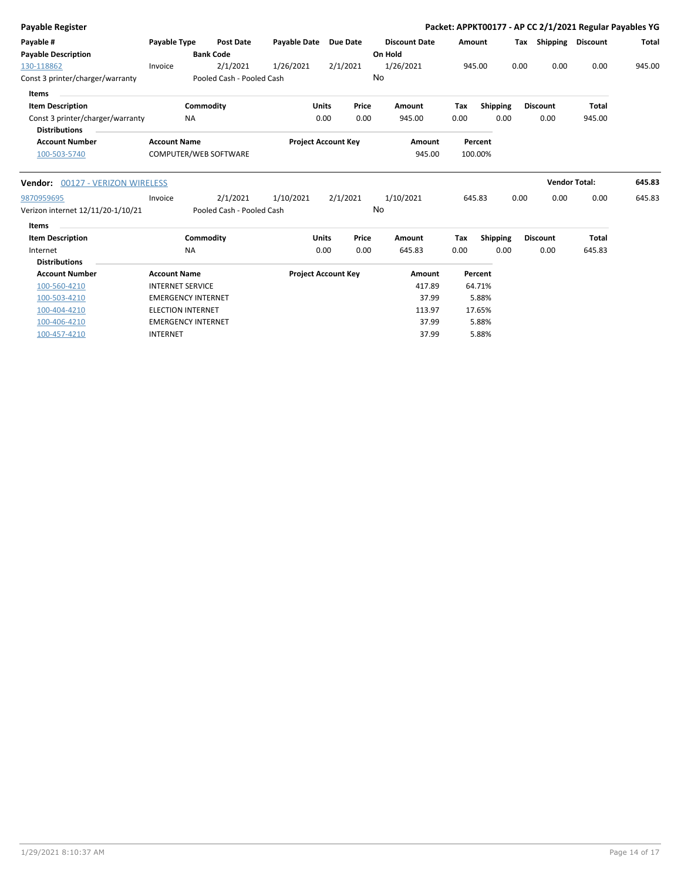| Payable Register                                         |                           |                                       |                            |          |       |                      |        |                 |      |                       | Packet: APPKT00177 - AP CC 2/1/2021 Regular Payables YG |              |
|----------------------------------------------------------|---------------------------|---------------------------------------|----------------------------|----------|-------|----------------------|--------|-----------------|------|-----------------------|---------------------------------------------------------|--------------|
| Payable #                                                | Payable Type              | <b>Post Date</b>                      | <b>Payable Date</b>        | Due Date |       | <b>Discount Date</b> | Amount |                 |      | Tax Shipping Discount |                                                         | <b>Total</b> |
| <b>Payable Description</b>                               |                           | <b>Bank Code</b>                      |                            |          |       | On Hold              |        |                 |      |                       |                                                         |              |
| 130-118862                                               | Invoice                   | 2/1/2021                              | 1/26/2021                  | 2/1/2021 |       | 1/26/2021            |        | 945.00          | 0.00 | 0.00                  | 0.00                                                    | 945.00       |
| Const 3 printer/charger/warranty                         |                           | Pooled Cash - Pooled Cash             |                            |          |       | No                   |        |                 |      |                       |                                                         |              |
| <b>Items</b>                                             |                           |                                       |                            |          |       |                      |        |                 |      |                       |                                                         |              |
| <b>Item Description</b>                                  | Commodity                 |                                       | <b>Units</b>               |          | Price | Amount               | Tax    | Shipping        |      | <b>Discount</b>       | <b>Total</b>                                            |              |
| Const 3 printer/charger/warranty<br><b>Distributions</b> | <b>NA</b>                 |                                       |                            | 0.00     | 0.00  | 945.00               | 0.00   | 0.00            |      | 0.00                  | 945.00                                                  |              |
| <b>Account Number</b>                                    | <b>Account Name</b>       |                                       | <b>Project Account Key</b> |          |       | Amount               |        | Percent         |      |                       |                                                         |              |
| 100-503-5740                                             | COMPUTER/WEB SOFTWARE     |                                       |                            |          |       | 945.00               |        | 100.00%         |      |                       |                                                         |              |
| Vendor: 00127 - VERIZON WIRELESS                         |                           |                                       |                            |          |       |                      |        |                 |      | <b>Vendor Total:</b>  |                                                         | 645.83       |
| 9870959695<br>Verizon internet 12/11/20-1/10/21          | Invoice                   | 2/1/2021<br>Pooled Cash - Pooled Cash | 1/10/2021                  | 2/1/2021 |       | 1/10/2021<br>No      |        | 645.83          | 0.00 | 0.00                  | 0.00                                                    | 645.83       |
| Items                                                    |                           |                                       |                            |          |       |                      |        |                 |      |                       |                                                         |              |
| <b>Item Description</b>                                  | Commodity                 |                                       | Units                      |          | Price | Amount               | Tax    | <b>Shipping</b> |      | <b>Discount</b>       | <b>Total</b>                                            |              |
| Internet                                                 | <b>NA</b>                 |                                       |                            | 0.00     | 0.00  | 645.83               | 0.00   | 0.00            |      | 0.00                  | 645.83                                                  |              |
| <b>Distributions</b>                                     |                           |                                       |                            |          |       |                      |        |                 |      |                       |                                                         |              |
| <b>Account Number</b>                                    | <b>Account Name</b>       |                                       | <b>Project Account Key</b> |          |       | Amount               |        | Percent         |      |                       |                                                         |              |
| 100-560-4210                                             | <b>INTERNET SERVICE</b>   |                                       |                            |          |       | 417.89               |        | 64.71%          |      |                       |                                                         |              |
| 100-503-4210                                             | <b>EMERGENCY INTERNET</b> |                                       |                            |          |       | 37.99                |        | 5.88%           |      |                       |                                                         |              |
| 100-404-4210                                             | <b>ELECTION INTERNET</b>  |                                       |                            |          |       | 113.97               |        | 17.65%          |      |                       |                                                         |              |
| 100-406-4210                                             | <b>EMERGENCY INTERNET</b> |                                       |                            |          |       | 37.99                |        | 5.88%           |      |                       |                                                         |              |
| 100-457-4210                                             | <b>INTERNET</b>           |                                       |                            |          |       | 37.99                |        | 5.88%           |      |                       |                                                         |              |
|                                                          |                           |                                       |                            |          |       |                      |        |                 |      |                       |                                                         |              |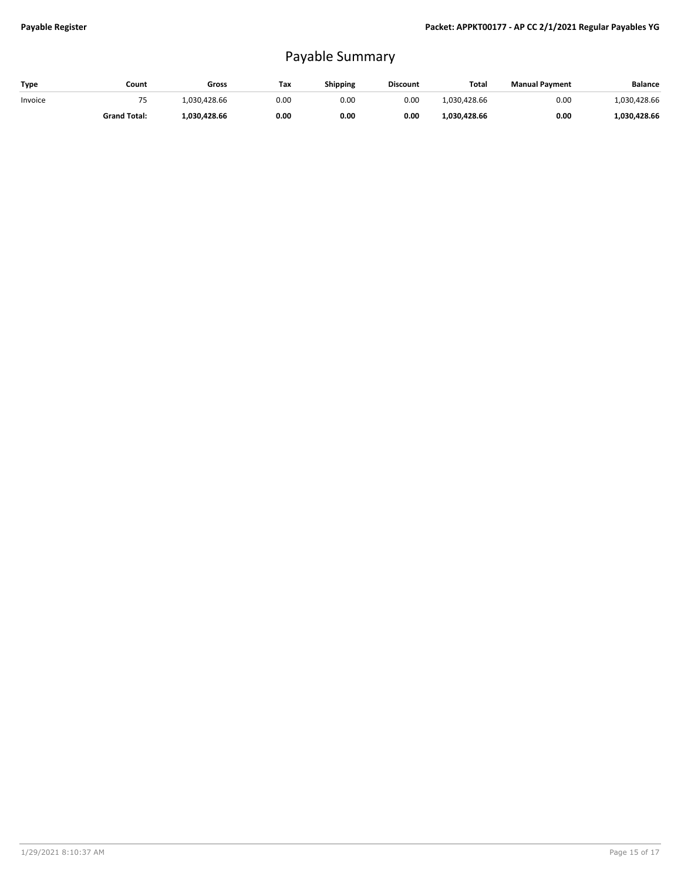## Payable Summary

| Type    | Count               | Gross        | Тах  | Shipping | <b>Discount</b> | Total        | <b>Manual Payment</b> | Balance      |
|---------|---------------------|--------------|------|----------|-----------------|--------------|-----------------------|--------------|
| Invoice | 70                  | 1.030.428.66 | 0.00 | 0.00     | 0.00            | 1.030.428.66 | 0.00                  | 1.030.428.66 |
|         | <b>Grand Total:</b> | 1.030.428.66 | 0.00 | 0.00     | 0.00            | 1,030,428.66 | 0.00                  | 1.030.428.66 |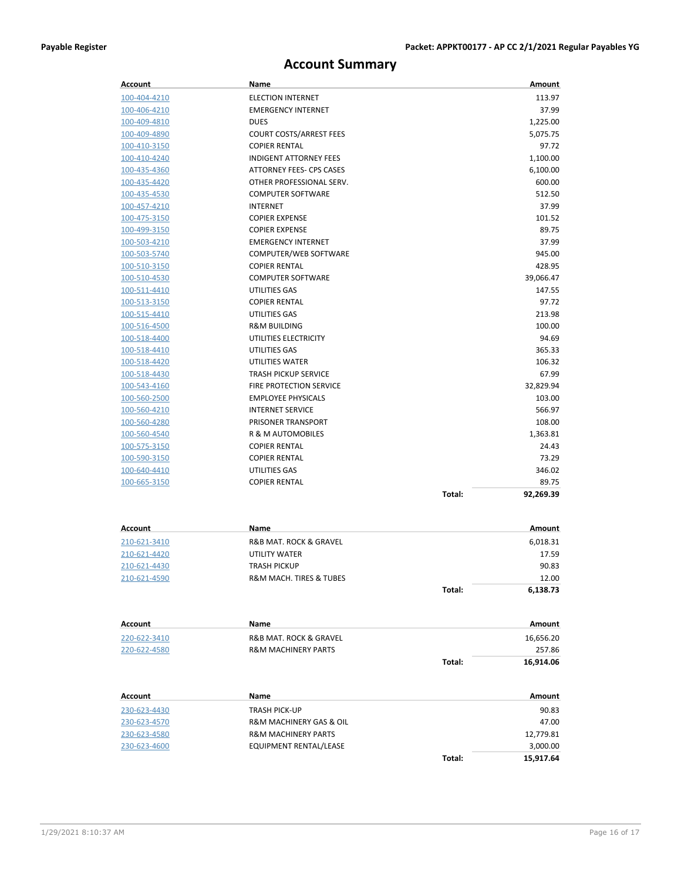## **Account Summary**

| Account             | Name                           |        | Amount    |
|---------------------|--------------------------------|--------|-----------|
| 100-404-4210        | <b>ELECTION INTERNET</b>       |        | 113.97    |
| 100-406-4210        | <b>EMERGENCY INTERNET</b>      |        | 37.99     |
| 100-409-4810        | <b>DUES</b>                    |        | 1,225.00  |
| 100-409-4890        | <b>COURT COSTS/ARREST FEES</b> |        | 5,075.75  |
| 100-410-3150        | <b>COPIER RENTAL</b>           |        | 97.72     |
| 100-410-4240        | <b>INDIGENT ATTORNEY FEES</b>  |        | 1,100.00  |
| 100-435-4360        | ATTORNEY FEES- CPS CASES       |        | 6,100.00  |
| 100-435-4420        | OTHER PROFESSIONAL SERV.       |        | 600.00    |
| 100-435-4530        | <b>COMPUTER SOFTWARE</b>       |        | 512.50    |
| 100-457-4210        | <b>INTERNET</b>                |        | 37.99     |
| 100-475-3150        | <b>COPIER EXPENSE</b>          |        | 101.52    |
| 100-499-3150        | <b>COPIER EXPENSE</b>          |        | 89.75     |
| 100-503-4210        | <b>EMERGENCY INTERNET</b>      |        | 37.99     |
| 100-503-5740        | COMPUTER/WEB SOFTWARE          |        | 945.00    |
| 100-510-3150        | <b>COPIER RENTAL</b>           |        | 428.95    |
| <u>100-510-4530</u> | <b>COMPUTER SOFTWARE</b>       |        | 39,066.47 |
| 100-511-4410        | UTILITIES GAS                  |        | 147.55    |
| 100-513-3150        | <b>COPIER RENTAL</b>           |        | 97.72     |
| 100-515-4410        | UTILITIES GAS                  |        | 213.98    |
| 100-516-4500        | <b>R&amp;M BUILDING</b>        |        | 100.00    |
| 100-518-4400        | UTILITIES ELECTRICITY          |        | 94.69     |
| 100-518-4410        | UTILITIES GAS                  |        | 365.33    |
| 100-518-4420        | UTILITIES WATER                |        | 106.32    |
| 100-518-4430        | <b>TRASH PICKUP SERVICE</b>    |        | 67.99     |
| 100-543-4160        | <b>FIRE PROTECTION SERVICE</b> |        | 32,829.94 |
| 100-560-2500        | <b>EMPLOYEE PHYSICALS</b>      |        | 103.00    |
| 100-560-4210        | <b>INTERNET SERVICE</b>        |        | 566.97    |
| 100-560-4280        | PRISONER TRANSPORT             |        | 108.00    |
| 100-560-4540        | R & M AUTOMOBILES              |        | 1,363.81  |
| 100-575-3150        | <b>COPIER RENTAL</b>           |        | 24.43     |
| 100-590-3150        | <b>COPIER RENTAL</b>           |        | 73.29     |
| 100-640-4410        | UTILITIES GAS                  |        | 346.02    |
| 100-665-3150        | <b>COPIER RENTAL</b>           |        | 89.75     |
|                     |                                | Total: | 92,269.39 |
|                     |                                |        |           |
| Account             | Name                           |        | Amount    |
| 210-621-3410        | R&B MAT. ROCK & GRAVEL         |        | 6,018.31  |
| 210-621-4420        | <b>UTILITY WATER</b>           |        | 17.59     |
| 210-621-4430        | TRASH PICKUP                   |        | 90.83     |
| 210-621-4590        | R&M MACH. TIRES & TUBES        |        | 12.00     |
|                     |                                | Total: | 6,138.73  |
|                     |                                |        |           |
| Account             | Name                           |        | Amount    |
| 220-622-3410        | R&B MAT. ROCK & GRAVEL         |        | 16,656.20 |
| 220-622-4580        | <b>R&amp;M MACHINERY PARTS</b> |        | 257.86    |
|                     |                                | Total: | 16,914.06 |
|                     |                                |        |           |
| Account             | Name                           |        | Amount    |
| 230-623-4430        | <b>TRASH PICK-UP</b>           |        | 90.83     |
| 230-623-4570        | R&M MACHINERY GAS & OIL        |        | 47.00     |
| 230-623-4580        | <b>R&amp;M MACHINERY PARTS</b> |        | 12,779.81 |
| 230-623-4600        | EQUIPMENT RENTAL/LEASE         |        | 3,000.00  |
|                     |                                | Total: | 15,917.64 |